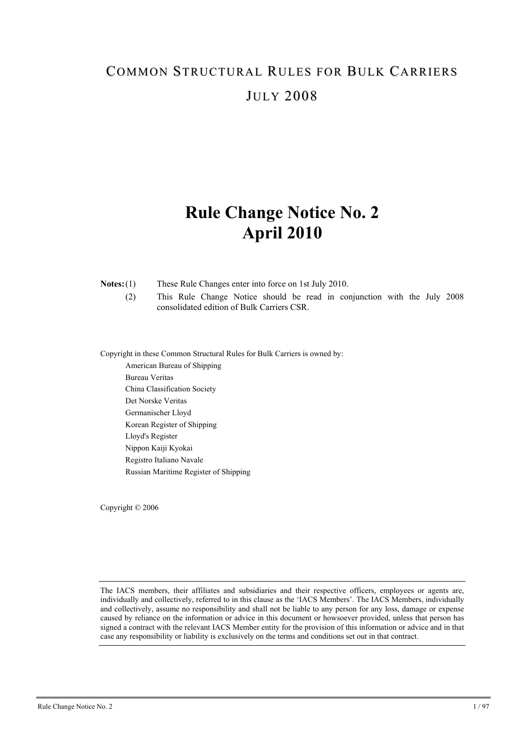# **Rule Change Notice No. 2 April 2010**

**Notes:** (1) These Rule Changes enter into force on 1st July 2010.

 (2) This Rule Change Notice should be read in conjunction with the July 2008 consolidated edition of Bulk Carriers CSR.

Copyright in these Common Structural Rules for Bulk Carriers is owned by:

American Bureau of Shipping Bureau Veritas China Classification Society Det Norske Veritas Germanischer Lloyd Korean Register of Shipping Lloyd's Register Nippon Kaiji Kyokai Registro Italiano Navale Russian Maritime Register of Shipping

Copyright © 2006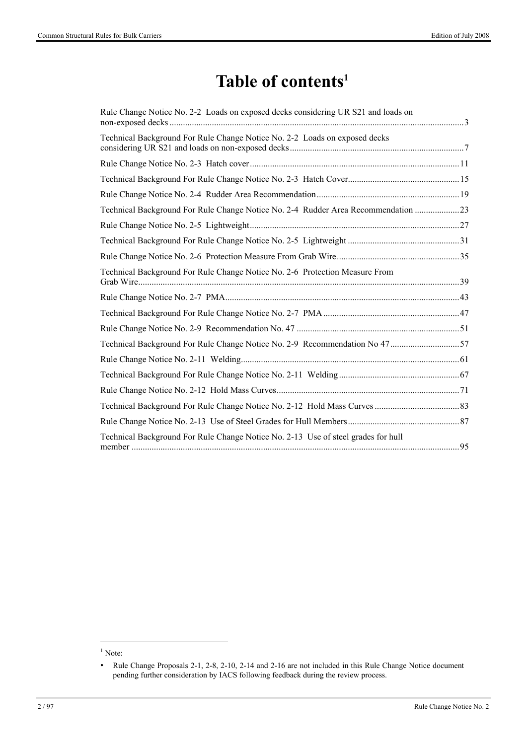# **Table of contents1**

| Rule Change Notice No. 2-2 Loads on exposed decks considering UR S21 and loads on |  |
|-----------------------------------------------------------------------------------|--|
| Technical Background For Rule Change Notice No. 2-2 Loads on exposed decks        |  |
|                                                                                   |  |
|                                                                                   |  |
|                                                                                   |  |
| Technical Background For Rule Change Notice No. 2-4 Rudder Area Recommendation 23 |  |
|                                                                                   |  |
|                                                                                   |  |
|                                                                                   |  |
| Technical Background For Rule Change Notice No. 2-6 Protection Measure From       |  |
|                                                                                   |  |
|                                                                                   |  |
|                                                                                   |  |
| Technical Background For Rule Change Notice No. 2-9 Recommendation No 47 57       |  |
|                                                                                   |  |
|                                                                                   |  |
|                                                                                   |  |
|                                                                                   |  |
|                                                                                   |  |
| Technical Background For Rule Change Notice No. 2-13 Use of steel grades for hull |  |

 $\overline{\phantom{a}}$ 

 $<sup>1</sup>$  Note:</sup>

<sup>•</sup> Rule Change Proposals 2-1, 2-8, 2-10, 2-14 and 2-16 are not included in this Rule Change Notice document pending further consideration by IACS following feedback during the review process.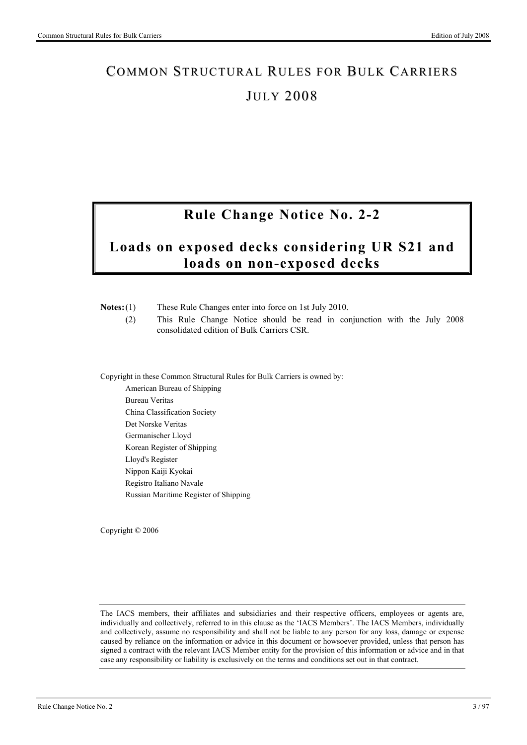# **Rule Change Notice No. 2-2**

# **Loads on exposed decks considering UR S21 and loads on non-exposed decks**

| Notes: (1)       | These Rule Changes enter into force on 1st July 2010.<br>This Rule Change Notice should be read in conjunction with the July 2008<br>(2)<br>consolidated edition of Bulk Carriers CSR. |  |  |  |  |
|------------------|----------------------------------------------------------------------------------------------------------------------------------------------------------------------------------------|--|--|--|--|
|                  | Copyright in these Common Structural Rules for Bulk Carriers is owned by:                                                                                                              |  |  |  |  |
|                  | American Bureau of Shipping                                                                                                                                                            |  |  |  |  |
|                  | <b>Bureau Veritas</b>                                                                                                                                                                  |  |  |  |  |
|                  | China Classification Society                                                                                                                                                           |  |  |  |  |
|                  | Det Norske Veritas                                                                                                                                                                     |  |  |  |  |
|                  | Germanischer Lloyd                                                                                                                                                                     |  |  |  |  |
|                  | Korean Register of Shipping                                                                                                                                                            |  |  |  |  |
| Lloyd's Register |                                                                                                                                                                                        |  |  |  |  |
|                  | Nippon Kaiji Kyokai                                                                                                                                                                    |  |  |  |  |
|                  | Registro Italiano Navale                                                                                                                                                               |  |  |  |  |
|                  | Russian Maritime Register of Shipping                                                                                                                                                  |  |  |  |  |

Copyright © 2006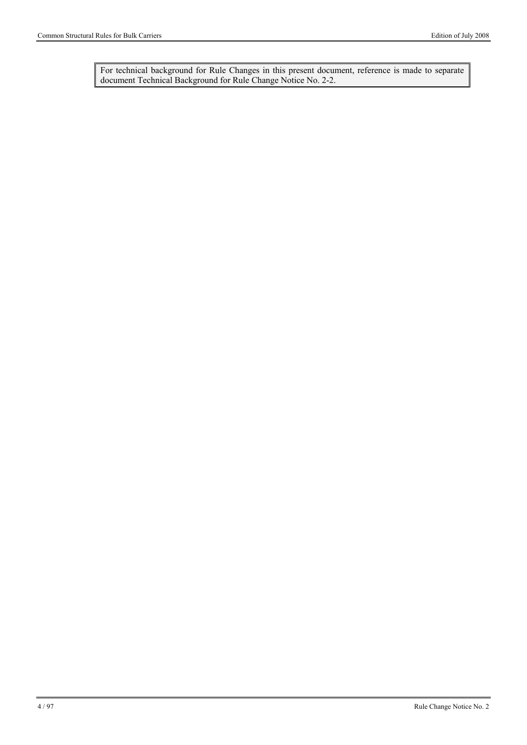For technical background for Rule Changes in this present document, reference is made to separate document Technical Background for Rule Change Notice No. 2-2.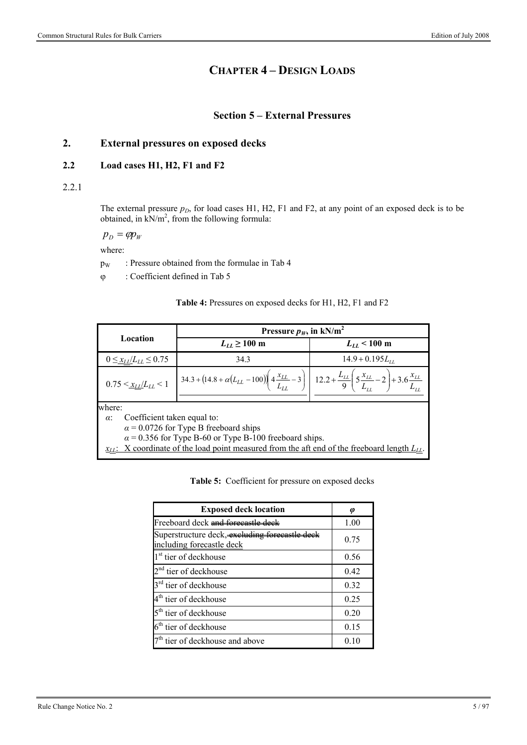# **CHAPTER 4 – DESIGN LOADS**

### **Section 5 – External Pressures**

## **2. External pressures on exposed decks**

#### **2.2 Load cases H1, H2, F1 and F2**

2.2.1

The external pressure  $p_D$ , for load cases H1, H2, F1 and F2, at any point of an exposed deck is to be obtained, in  $kN/m^2$ , from the following formula:

 $p_p = \varphi p_w$ 

where:

 $p_W$  : Pressure obtained from the formulae in Tab 4

: Coefficient defined in Tab 5

| Table 4: Pressures on exposed decks for H1, H2, F1 and F2 |  |
|-----------------------------------------------------------|--|
|-----------------------------------------------------------|--|

|                                                     | Pressure $p_W$ , in kN/m <sup>2</sup>                                                                                                                                                                                   |                      |  |  |
|-----------------------------------------------------|-------------------------------------------------------------------------------------------------------------------------------------------------------------------------------------------------------------------------|----------------------|--|--|
| Location                                            | $L_{LL} \geq 100$ m                                                                                                                                                                                                     | $L_{LL}$ < 100 m     |  |  |
| $0 \leq x_{LL}/L_{LL} \leq 0.75$                    | 34.3                                                                                                                                                                                                                    | $14.9 + 0.195L_{11}$ |  |  |
| $0.75 \leq \frac{X_{LL}}{L_{LL}} \leq 1$            | $34.3 + (14.8 + \alpha (L_{LL} - 100)) \left( 4 \frac{x_{LL}}{L_{LL}} - 3 \right) \left[ 12.2 + \frac{L_{LL}}{9} \left( 5 \frac{x_{LL}}{L_{LL}} - 2 \right) + 3.6 \frac{x_{LL}}{L_{LL}} \right]$                        |                      |  |  |
| where:<br>Coefficient taken equal to:<br>$\alpha$ : | $\alpha$ = 0.0726 for Type B freeboard ships<br>$\alpha$ = 0.356 for Type B-60 or Type B-100 freeboard ships.<br>$x_{LL}$ : X coordinate of the load point measured from the aft end of the freeboard length $L_{LL}$ . |                      |  |  |

**Table 5:** Coefficient for pressure on exposed decks

| <b>Exposed deck location</b>                                              | Ø    |
|---------------------------------------------------------------------------|------|
| Freeboard deck and forecastle d                                           | 1.00 |
| Superstructure deck, excluding forecastle de<br>including forecastle deck | 0.75 |
| 1 <sup>st</sup> tier of deckhouse                                         | 0.56 |
| 2 <sup>nd</sup> tier of deckhouse                                         | 0.42 |
| 3 <sup>rd</sup> tier of deckhouse                                         | 0.32 |
| 4 <sup>th</sup> tier of deckhouse                                         | 0.25 |
| 5 <sup>th</sup> tier of deckhouse                                         | 0.20 |
| 6 <sup>th</sup> tier of deckhouse                                         | 0.15 |
| 7 <sup>th</sup> tier of deckhouse and above                               | 0.10 |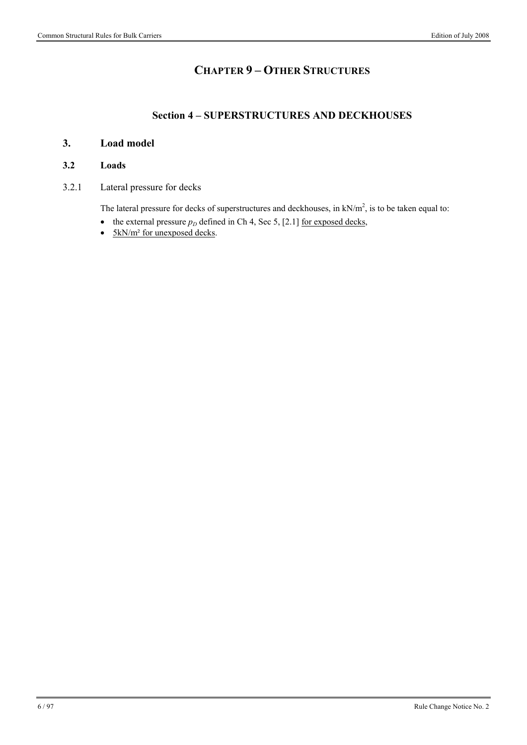# **CHAPTER 9 – OTHER STRUCTURES**

## **Section 4 – SUPERSTRUCTURES AND DECKHOUSES**

## **3. Load model**

#### **3.2 Loads**

3.2.1 Lateral pressure for decks

The lateral pressure for decks of superstructures and deckhouses, in  $kN/m<sup>2</sup>$ , is to be taken equal to:

- the external pressure  $p_D$  defined in Ch 4, Sec 5, [2.1] <u>for exposed decks</u>,
- $\bullet$  5kN/m<sup>2</sup> for unexposed decks.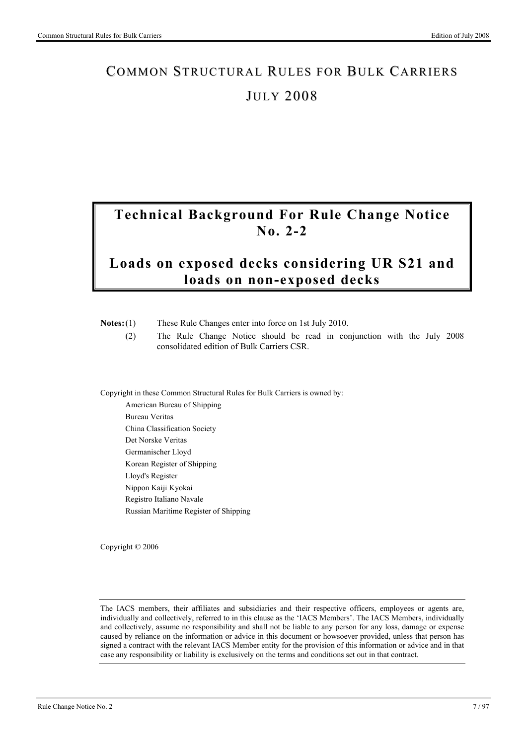# **Technical Background For Rule Change Notice No. 2-2**

# **Loads on exposed decks considering UR S21 and loads on non-exposed decks**

| These Rule Changes enter into force on 1st July 2010.<br>$Notes:(1)$ |                                                                                                                       |  |  |
|----------------------------------------------------------------------|-----------------------------------------------------------------------------------------------------------------------|--|--|
| (2)                                                                  | The Rule Change Notice should be read in conjunction with the July 2008<br>consolidated edition of Bulk Carriers CSR. |  |  |
|                                                                      |                                                                                                                       |  |  |
|                                                                      | Copyright in these Common Structural Rules for Bulk Carriers is owned by:                                             |  |  |
|                                                                      | American Bureau of Shipping                                                                                           |  |  |
|                                                                      |                                                                                                                       |  |  |
|                                                                      | <b>Duranu Varitas</b>                                                                                                 |  |  |

Bureau Veritas China Classification Society Det Norske Veritas Germanischer Lloyd Korean Register of Shipping Lloyd's Register Nippon Kaiji Kyokai Registro Italiano Navale Russian Maritime Register of Shipping

Copyright © 2006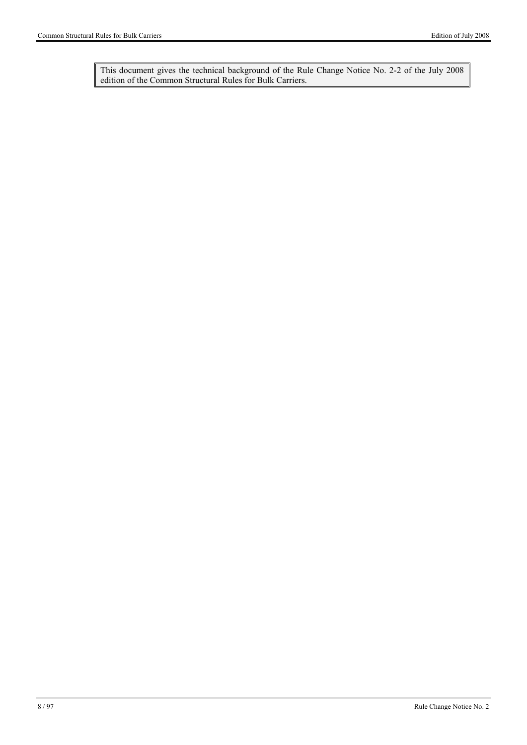This document gives the technical background of the Rule Change Notice No. 2-2 of the July 2008 edition of the Common Structural Rules for Bulk Carriers.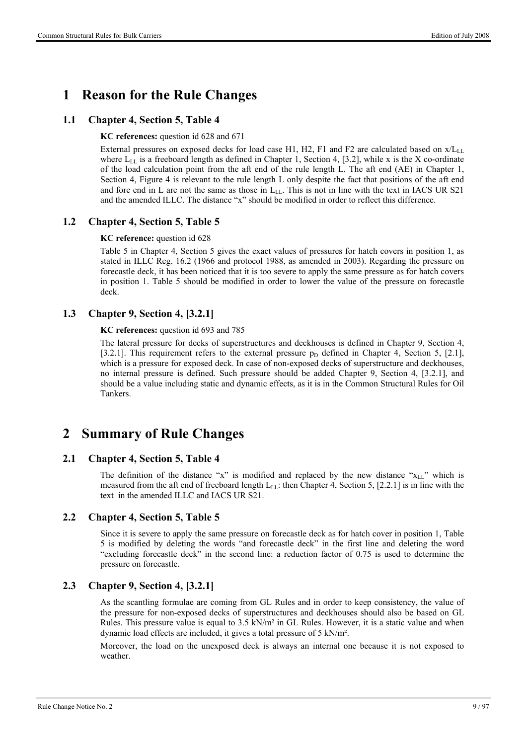# **1 Reason for the Rule Changes**

#### **1.1 Chapter 4, Section 5, Table 4**

**KC references:** question id 628 and 671

External pressures on exposed decks for load case H1, H2, F1 and F2 are calculated based on  $x/L_{LL}$ where  $L_{LL}$  is a freeboard length as defined in Chapter 1, Section 4, [3.2], while x is the X co-ordinate of the load calculation point from the aft end of the rule length L. The aft end (AE) in Chapter 1, Section 4, Figure 4 is relevant to the rule length L only despite the fact that positions of the aft end and fore end in L are not the same as those in  $L_{LL}$ . This is not in line with the text in IACS UR S21 and the amended ILLC. The distance "x" should be modified in order to reflect this difference.

#### **1.2 Chapter 4, Section 5, Table 5**

**KC reference:** question id 628

Table 5 in Chapter 4, Section 5 gives the exact values of pressures for hatch covers in position 1, as stated in ILLC Reg. 16.2 (1966 and protocol 1988, as amended in 2003). Regarding the pressure on forecastle deck, it has been noticed that it is too severe to apply the same pressure as for hatch covers in position 1. Table 5 should be modified in order to lower the value of the pressure on forecastle deck.

#### **1.3 Chapter 9, Section 4, [3.2.1]**

**KC references:** question id 693 and 785

The lateral pressure for decks of superstructures and deckhouses is defined in Chapter 9, Section 4, [3.2.1]. This requirement refers to the external pressure  $p<sub>D</sub>$  defined in Chapter 4, Section 5, [2.1], which is a pressure for exposed deck. In case of non-exposed decks of superstructure and deckhouses, no internal pressure is defined. Such pressure should be added Chapter 9, Section 4, [3.2.1], and should be a value including static and dynamic effects, as it is in the Common Structural Rules for Oil Tankers.

# **2 Summary of Rule Changes**

#### **2.1 Chapter 4, Section 5, Table 4**

The definition of the distance "x" is modified and replaced by the new distance " $x_{LL}$ " which is measured from the aft end of freeboard length  $L_{LL}$ : then Chapter 4, Section 5, [2.2.1] is in line with the text in the amended ILLC and IACS UR S21.

#### **2.2 Chapter 4, Section 5, Table 5**

Since it is severe to apply the same pressure on forecastle deck as for hatch cover in position 1, Table 5 is modified by deleting the words "and forecastle deck" in the first line and deleting the word "excluding forecastle deck" in the second line: a reduction factor of 0.75 is used to determine the pressure on forecastle.

#### **2.3 Chapter 9, Section 4, [3.2.1]**

As the scantling formulae are coming from GL Rules and in order to keep consistency, the value of the pressure for non-exposed decks of superstructures and deckhouses should also be based on GL Rules. This pressure value is equal to  $3.5 \text{ kN/m}^2$  in GL Rules. However, it is a static value and when dynamic load effects are included, it gives a total pressure of 5 kN/m².

Moreover, the load on the unexposed deck is always an internal one because it is not exposed to weather.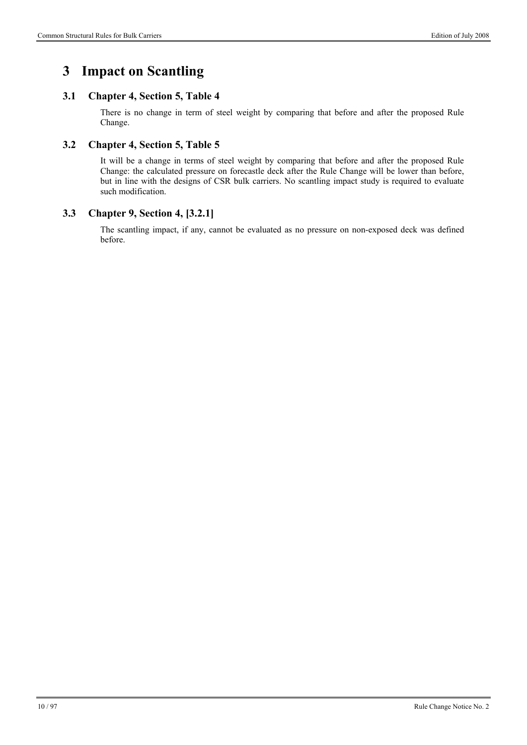# **3 Impact on Scantling**

## **3.1 Chapter 4, Section 5, Table 4**

There is no change in term of steel weight by comparing that before and after the proposed Rule Change.

### **3.2 Chapter 4, Section 5, Table 5**

It will be a change in terms of steel weight by comparing that before and after the proposed Rule Change: the calculated pressure on forecastle deck after the Rule Change will be lower than before, but in line with the designs of CSR bulk carriers. No scantling impact study is required to evaluate such modification.

#### **3.3 Chapter 9, Section 4, [3.2.1]**

The scantling impact, if any, cannot be evaluated as no pressure on non-exposed deck was defined before.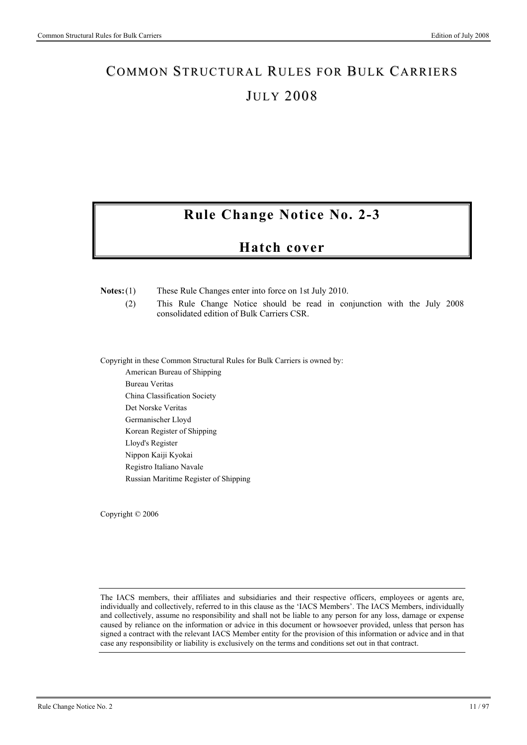# **Rule Change Notice No. 2-3**

# **Hatch cover**

#### **Notes:** (1) These Rule Changes enter into force on 1st July 2010.

 (2) This Rule Change Notice should be read in conjunction with the July 2008 consolidated edition of Bulk Carriers CSR.

Copyright in these Common Structural Rules for Bulk Carriers is owned by:

American Bureau of Shipping Bureau Veritas China Classification Society Det Norske Veritas Germanischer Lloyd Korean Register of Shipping Lloyd's Register Nippon Kaiji Kyokai Registro Italiano Navale Russian Maritime Register of Shipping

Copyright © 2006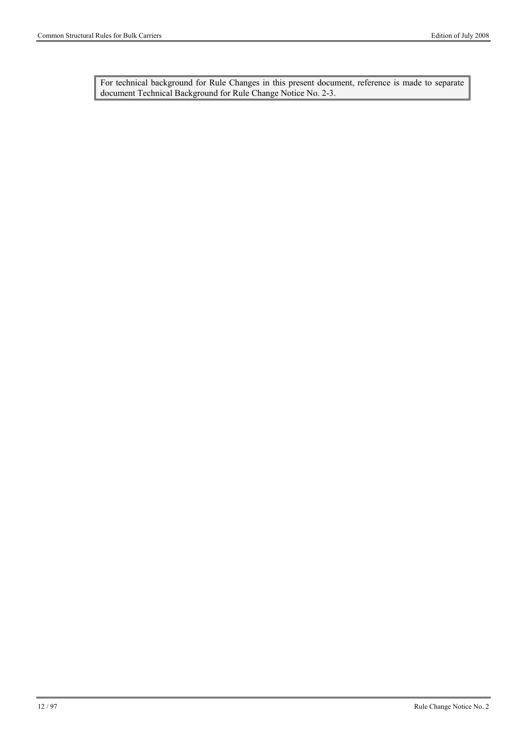For technical background for Rule Changes in this present document, reference is made to separate document Technical Background for Rule Change Notice No. 2-3.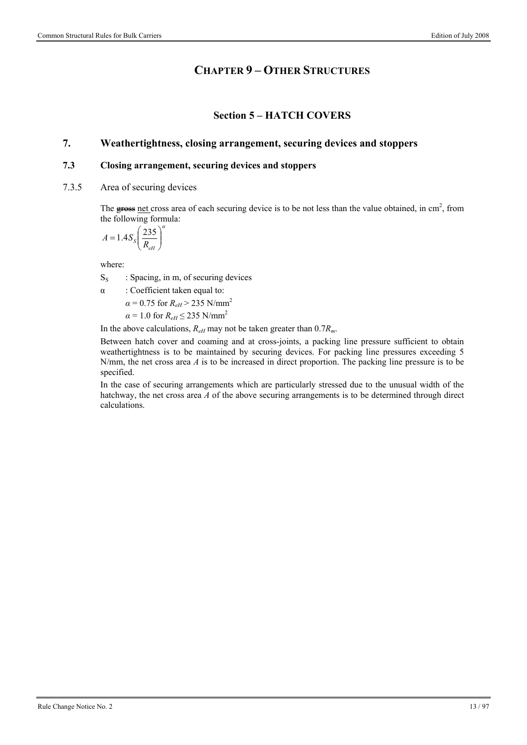## **CHAPTER 9 – OTHER STRUCTURES**

### **Section 5 – HATCH COVERS**

### **7. Weathertightness, closing arrangement, securing devices and stoppers**

#### **7.3 Closing arrangement, securing devices and stoppers**

7.3.5 Area of securing devices

The  $\frac{1}{\text{stress}}$  net cross area of each securing device is to be not less than the value obtained, in cm<sup>2</sup>, from the following formula:

$$
A = 1.4 S_s \left(\frac{235}{R_{\text{eff}}}\right)^{\alpha}
$$

where:

 $S<sub>S</sub>$  : Spacing, in m, of securing devices

α : Coefficient taken equal to:

 $\alpha$  = 0.75 for *R<sub>eH</sub>* > 235 N/mm<sup>2</sup>

 $\alpha$  = 1.0 for  $R_{eH} \leq 235$  N/mm<sup>2</sup>

In the above calculations, *ReH* may not be taken greater than 0.7*Rm*.

Between hatch cover and coaming and at cross-joints, a packing line pressure sufficient to obtain weathertightness is to be maintained by securing devices. For packing line pressures exceeding 5 N/mm, the net cross area *A* is to be increased in direct proportion. The packing line pressure is to be specified.

In the case of securing arrangements which are particularly stressed due to the unusual width of the hatchway, the net cross area *A* of the above securing arrangements is to be determined through direct calculations.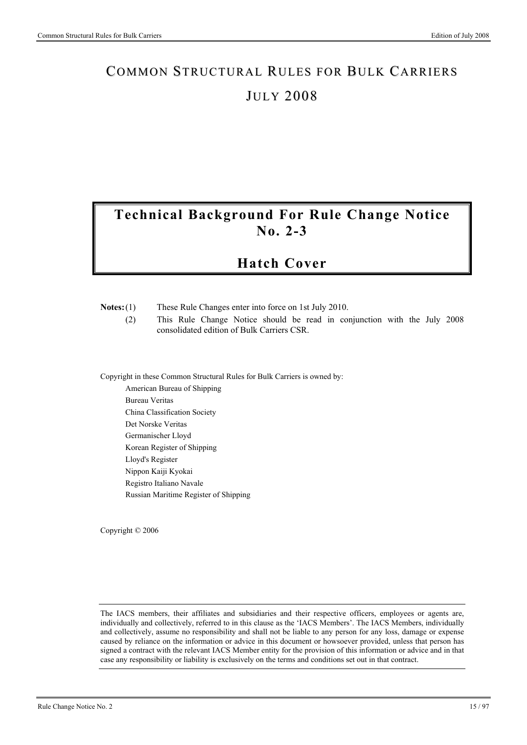# **Technical Background For Rule Change Notice No. 2-3**

# **Hatch Cover**

| $Notes:(1)$ | These Rule Changes enter into force on 1st July 2010. |  |
|-------------|-------------------------------------------------------|--|

 (2) This Rule Change Notice should be read in conjunction with the July 2008 consolidated edition of Bulk Carriers CSR.

Copyright in these Common Structural Rules for Bulk Carriers is owned by:

American Bureau of Shipping Bureau Veritas China Classification Society Det Norske Veritas Germanischer Lloyd Korean Register of Shipping Lloyd's Register Nippon Kaiji Kyokai Registro Italiano Navale Russian Maritime Register of Shipping

Copyright © 2006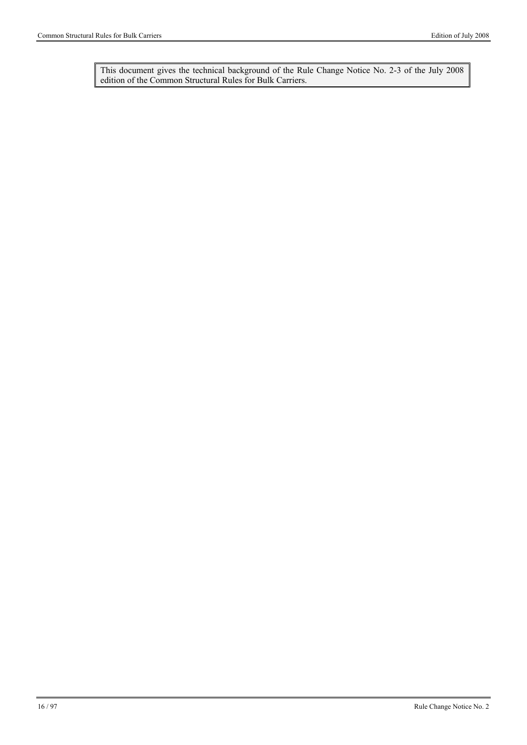This document gives the technical background of the Rule Change Notice No. 2-3 of the July 2008 edition of the Common Structural Rules for Bulk Carriers.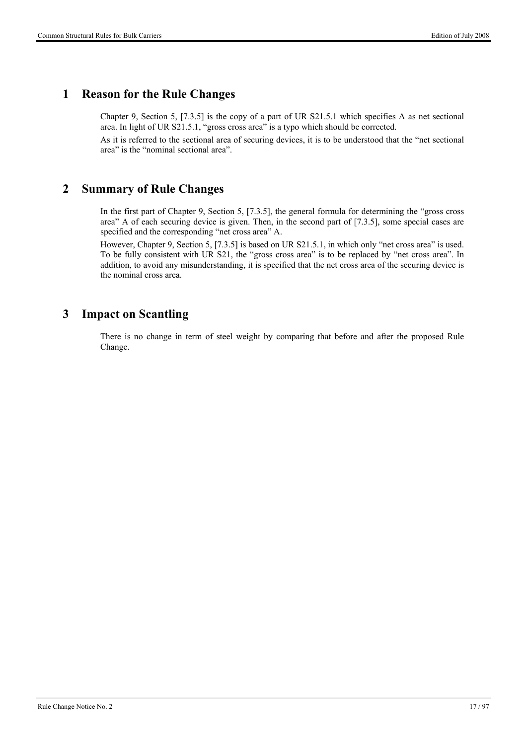## **1 Reason for the Rule Changes**

Chapter 9, Section 5, [7.3.5] is the copy of a part of UR S21.5.1 which specifies A as net sectional area. In light of UR S21.5.1, "gross cross area" is a typo which should be corrected.

As it is referred to the sectional area of securing devices, it is to be understood that the "net sectional area" is the "nominal sectional area".

## **2 Summary of Rule Changes**

In the first part of Chapter 9, Section 5, [7.3.5], the general formula for determining the "gross cross area" A of each securing device is given. Then, in the second part of [7.3.5], some special cases are specified and the corresponding "net cross area" A.

However, Chapter 9, Section 5, [7.3.5] is based on UR S21.5.1, in which only "net cross area" is used. To be fully consistent with UR S21, the "gross cross area" is to be replaced by "net cross area". In addition, to avoid any misunderstanding, it is specified that the net cross area of the securing device is the nominal cross area.

# **3 Impact on Scantling**

There is no change in term of steel weight by comparing that before and after the proposed Rule Change.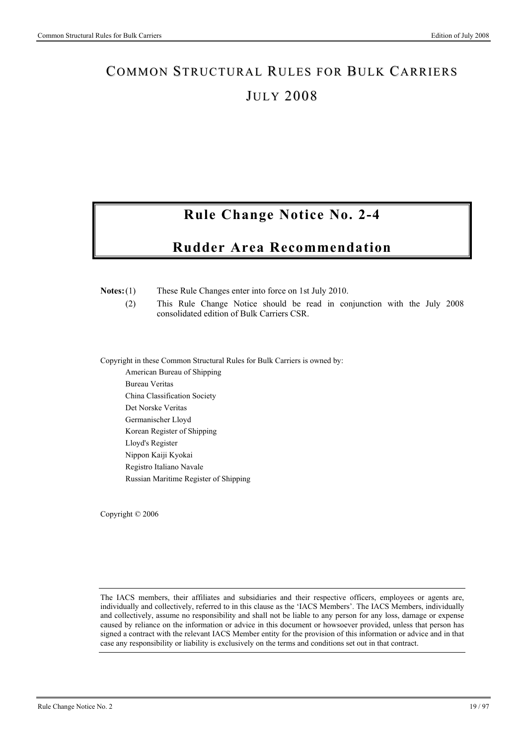# **Rule Change Notice No. 2-4**

# **Rudder Area Recommendation**

#### **Notes:** (1) These Rule Changes enter into force on 1st July 2010.

 (2) This Rule Change Notice should be read in conjunction with the July 2008 consolidated edition of Bulk Carriers CSR.

Copyright in these Common Structural Rules for Bulk Carriers is owned by:

American Bureau of Shipping Bureau Veritas China Classification Society Det Norske Veritas Germanischer Lloyd Korean Register of Shipping Lloyd's Register Nippon Kaiji Kyokai Registro Italiano Navale Russian Maritime Register of Shipping

Copyright © 2006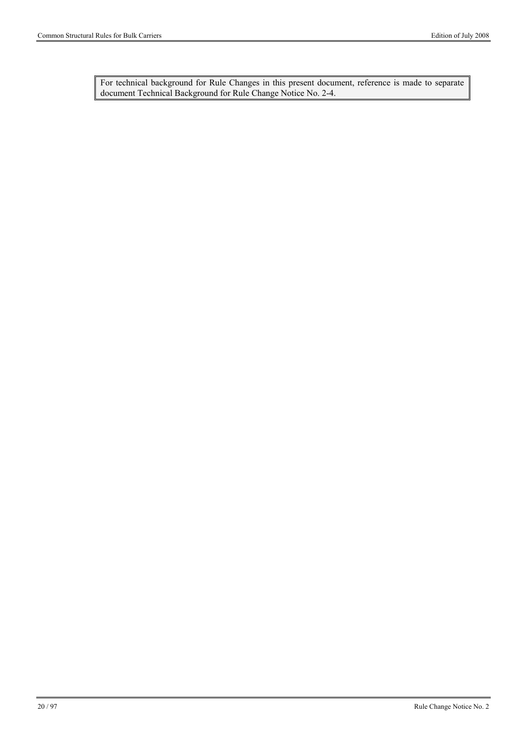For technical background for Rule Changes in this present document, reference is made to separate document Technical Background for Rule Change Notice No. 2-4.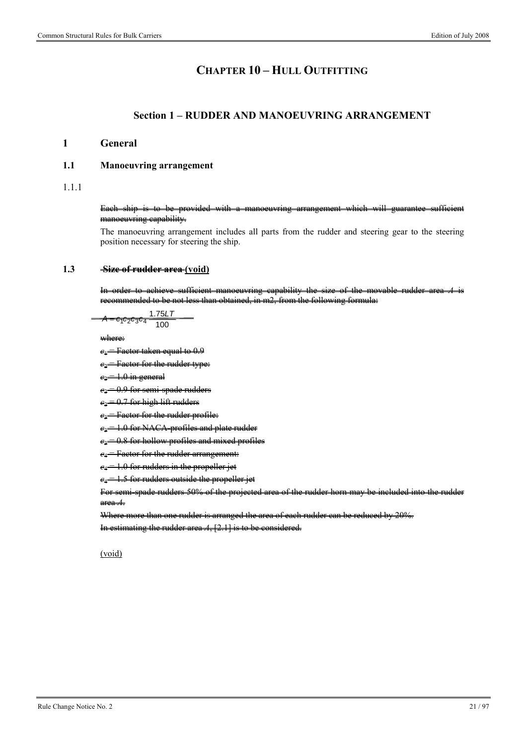# **CHAPTER 10 – HULL OUTFITTING**

#### **Section 1 – RUDDER AND MANOEUVRING ARRANGEMENT**

#### **1 General**

#### **1.1 Manoeuvring arrangement**

1.1.1

#### Each ship is to be provided with a manoeuvring arrangement which will guarantee sufficient manoeuvring capability.

The manoeuvring arrangement includes all parts from the rudder and steering gear to the steering position necessary for steering the ship.

#### **1.3 Size of rudder area (void)**

achieve sufficient manoeuvring capability the size of the movable rudder mmended to be not less than obtained, in m2, from the following formula:

$$
A = c_1c_2c_3c_4 \frac{1.75LT}{100}
$$

where:

 $e_1$  = Factor taken equal to 0.9

*c*<sup>2</sup> = Factor for the rudder type:

**1.0** in general

 $e_2$  = 0.9 for semi-spade rudders

 $e_2 = 0.7$  for high lift rudders

**Factor for the rudder profile:** 

 $e_3$  = 1.0 for NACA profiles and plate rudder

 $e_3 = 0.8$  for hollow profiles and mixed profiles

**Factor for the rudder arrangement:** 

 $e_4 = 1.0$  for rudders in the propeller jet

 $e_4 = 1.5$  for rudders outside the propeller jet

For semi-spade rudders 50% of the projected area of the rudder horn may be included into the rudder area *A*.

Where more than one rudder is arranged the area of each rudder can be reduced by 20%.

In estimating the rudder area *A*, [2.1] is to be considered.

#### (void)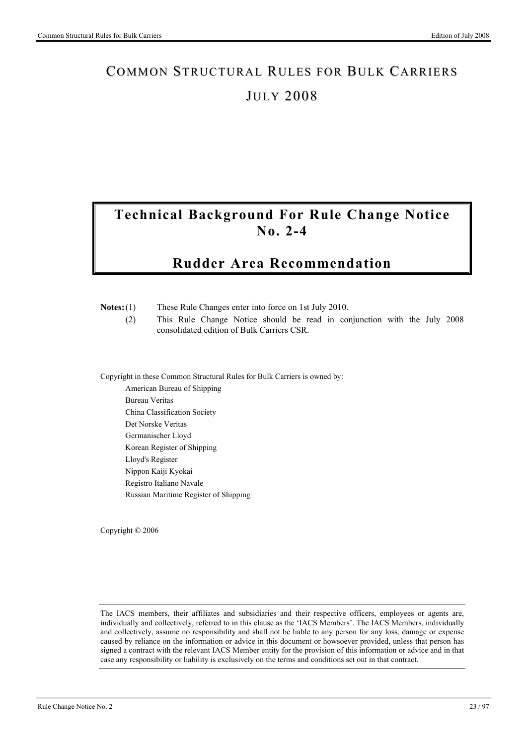# **Technical Background For Rule Change Notice No. 2-4**

# **Rudder Area Recommendation**

|             |  |  | These Rule Changes enter into force on 1st July 2010. |  |
|-------------|--|--|-------------------------------------------------------|--|
| $Notes:(1)$ |  |  |                                                       |  |

 (2) This Rule Change Notice should be read in conjunction with the July 2008 consolidated edition of Bulk Carriers CSR.

Copyright in these Common Structural Rules for Bulk Carriers is owned by: American Bureau of Shipping

Bureau Veritas China Classification Society Det Norske Veritas Germanischer Lloyd Korean Register of Shipping Lloyd's Register Nippon Kaiji Kyokai Registro Italiano Navale Russian Maritime Register of Shipping

Copyright © 2006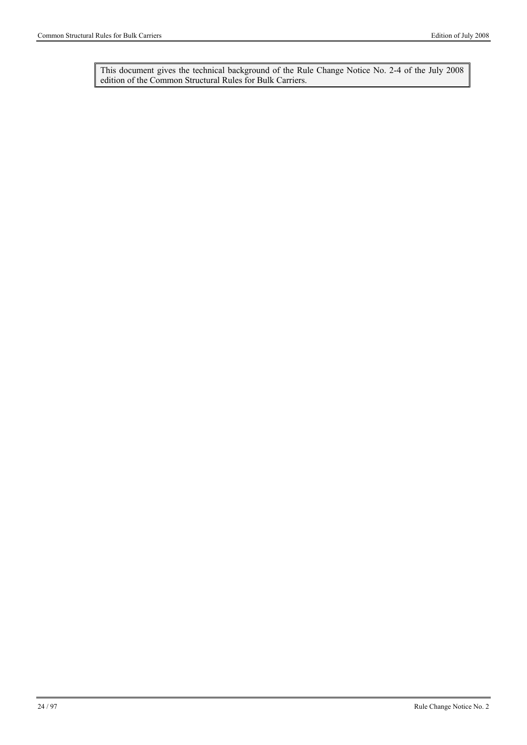This document gives the technical background of the Rule Change Notice No. 2-4 of the July 2008 edition of the Common Structural Rules for Bulk Carriers.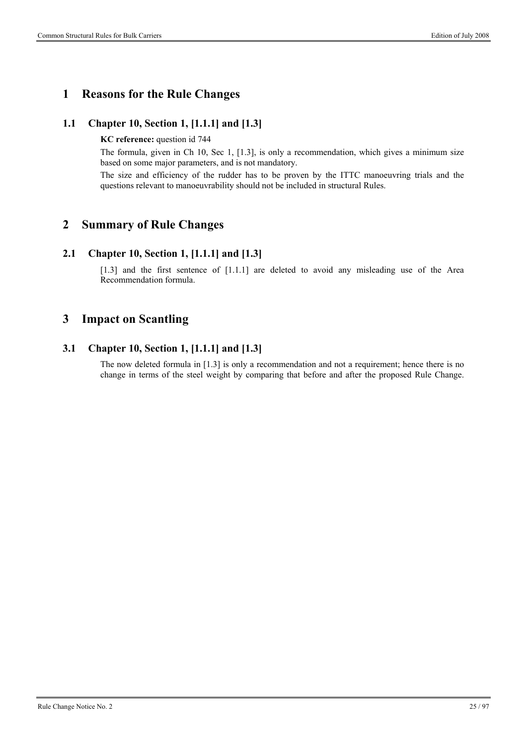## **1 Reasons for the Rule Changes**

### **1.1 Chapter 10, Section 1, [1.1.1] and [1.3]**

**KC reference:** question id 744

The formula, given in Ch 10, Sec 1, [1.3], is only a recommendation, which gives a minimum size based on some major parameters, and is not mandatory.

The size and efficiency of the rudder has to be proven by the ITTC manoeuvring trials and the questions relevant to manoeuvrability should not be included in structural Rules.

## **2 Summary of Rule Changes**

#### **2.1 Chapter 10, Section 1, [1.1.1] and [1.3]**

[1.3] and the first sentence of [1.1.1] are deleted to avoid any misleading use of the Area Recommendation formula.

## **3 Impact on Scantling**

### **3.1 Chapter 10, Section 1, [1.1.1] and [1.3]**

The now deleted formula in [1.3] is only a recommendation and not a requirement; hence there is no change in terms of the steel weight by comparing that before and after the proposed Rule Change.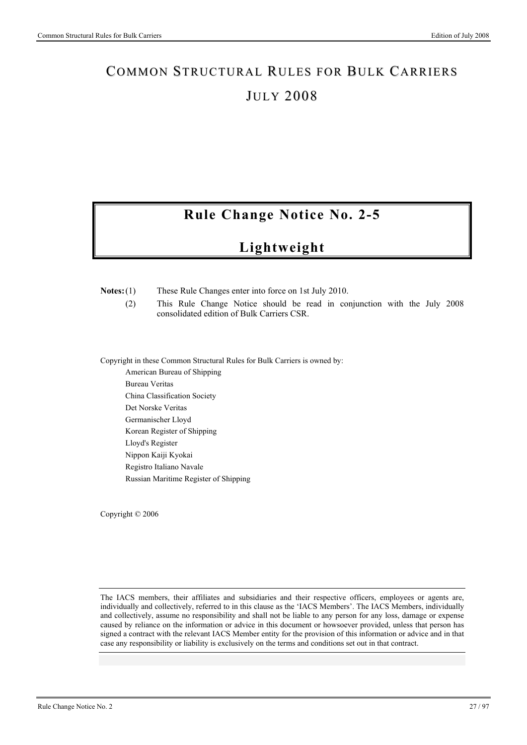# **Rule Change Notice No. 2-5**

# **Lightweight**

#### **Notes:** (1) These Rule Changes enter into force on 1st July 2010.

 (2) This Rule Change Notice should be read in conjunction with the July 2008 consolidated edition of Bulk Carriers CSR.

Copyright in these Common Structural Rules for Bulk Carriers is owned by:

American Bureau of Shipping Bureau Veritas China Classification Society Det Norske Veritas Germanischer Lloyd Korean Register of Shipping Lloyd's Register Nippon Kaiji Kyokai Registro Italiano Navale Russian Maritime Register of Shipping

Copyright © 2006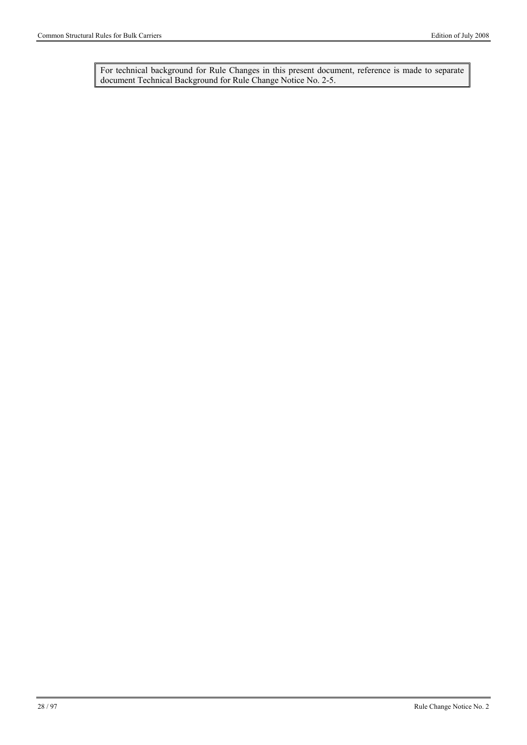For technical background for Rule Changes in this present document, reference is made to separate document Technical Background for Rule Change Notice No. 2-5.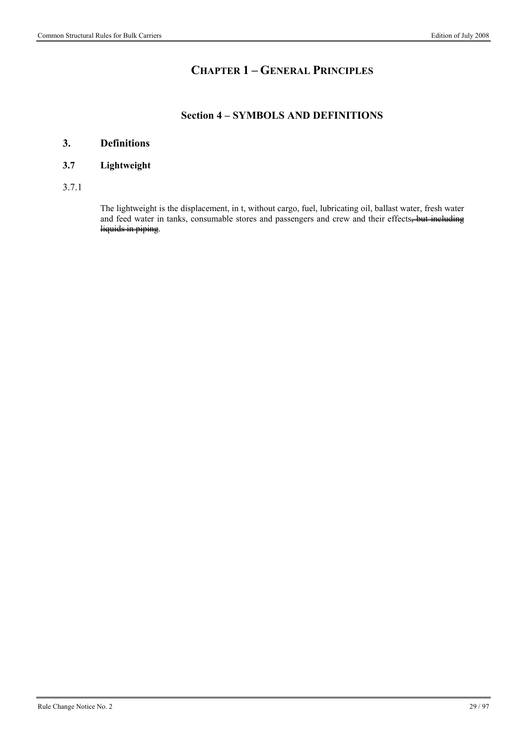# **CHAPTER 1 – GENERAL PRINCIPLES**

## **Section 4 – SYMBOLS AND DEFINITIONS**

## **3. Definitions**

#### **3.7 Lightweight**

3.7.1

The lightweight is the displacement, in t, without cargo, fuel, lubricating oil, ballast water, fresh water and feed water in tanks, consumable stores and passengers and crew and their effects, but including liquids in piping.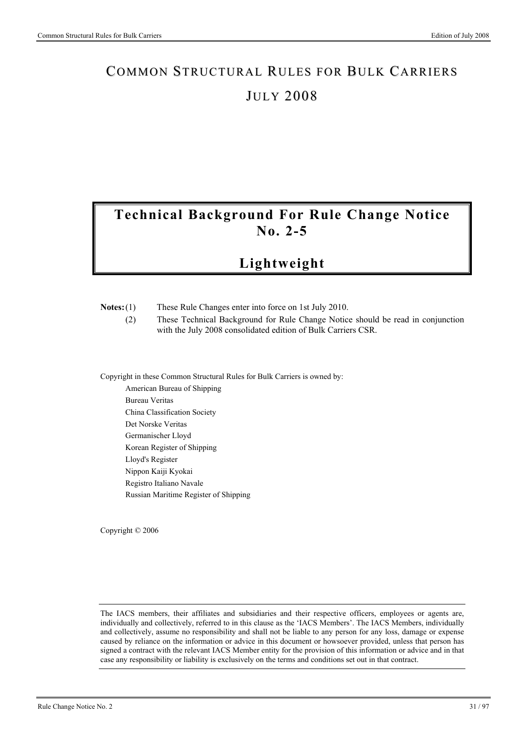# **Technical Background For Rule Change Notice No. 2-5**

# **Lightweight**

| $Notes:(1)$ | These Rule Changes enter into force on 1st July 2010. |  |
|-------------|-------------------------------------------------------|--|

 (2) These Technical Background for Rule Change Notice should be read in conjunction with the July 2008 consolidated edition of Bulk Carriers CSR.

Copyright in these Common Structural Rules for Bulk Carriers is owned by:

American Bureau of Shipping Bureau Veritas China Classification Society Det Norske Veritas Germanischer Lloyd Korean Register of Shipping Lloyd's Register Nippon Kaiji Kyokai Registro Italiano Navale Russian Maritime Register of Shipping

Copyright © 2006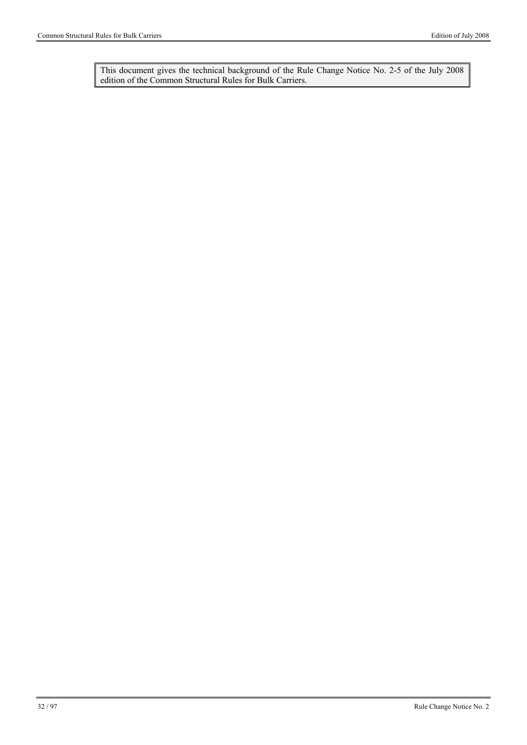This document gives the technical background of the Rule Change Notice No. 2-5 of the July 2008 edition of the Common Structural Rules for Bulk Carriers.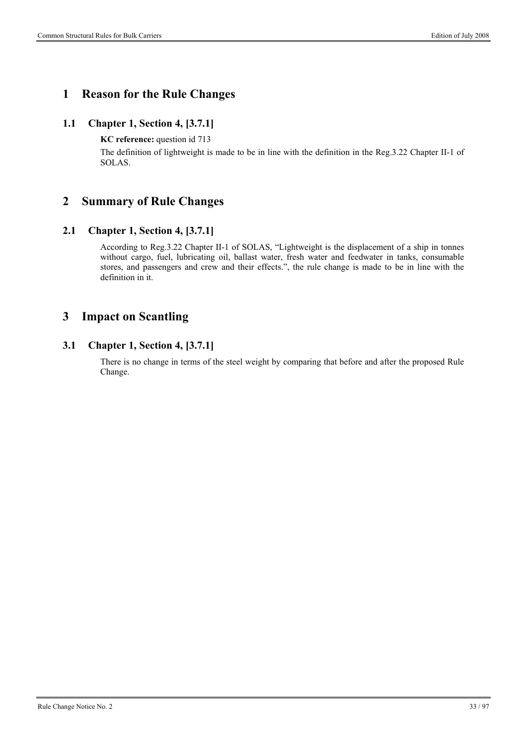## **1 Reason for the Rule Changes**

### **1.1 Chapter 1, Section 4, [3.7.1]**

**KC reference:** question id 713

The definition of lightweight is made to be in line with the definition in the Reg.3.22 Chapter II-1 of SOLAS.

## **2 Summary of Rule Changes**

### **2.1 Chapter 1, Section 4, [3.7.1]**

According to Reg.3.22 Chapter II-1 of SOLAS, "Lightweight is the displacement of a ship in tonnes without cargo, fuel, lubricating oil, ballast water, fresh water and feedwater in tanks, consumable stores, and passengers and crew and their effects.", the rule change is made to be in line with the definition in it.

# **3 Impact on Scantling**

### **3.1 Chapter 1, Section 4, [3.7.1]**

There is no change in terms of the steel weight by comparing that before and after the proposed Rule Change.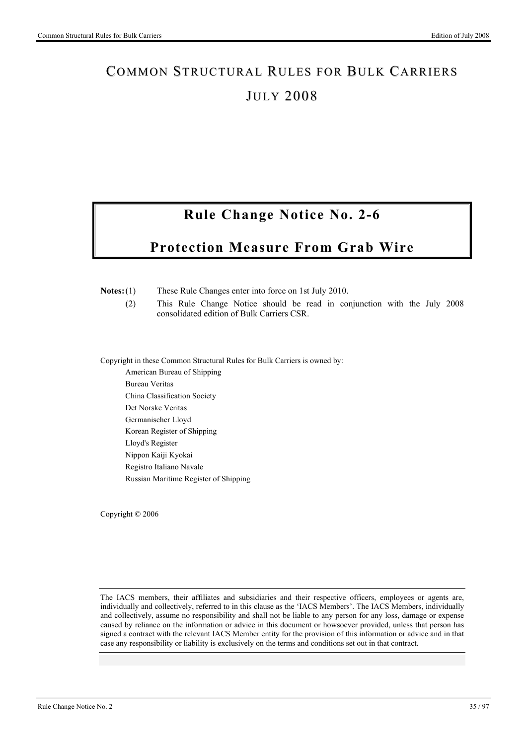# **Rule Change Notice No. 2-6**

# **Protection Measure From Grab Wire**

**Notes:** (1) These Rule Changes enter into force on 1st July 2010.

 (2) This Rule Change Notice should be read in conjunction with the July 2008 consolidated edition of Bulk Carriers CSR.

Copyright in these Common Structural Rules for Bulk Carriers is owned by:

American Bureau of Shipping Bureau Veritas China Classification Society Det Norske Veritas Germanischer Lloyd Korean Register of Shipping Lloyd's Register Nippon Kaiji Kyokai Registro Italiano Navale Russian Maritime Register of Shipping

Copyright © 2006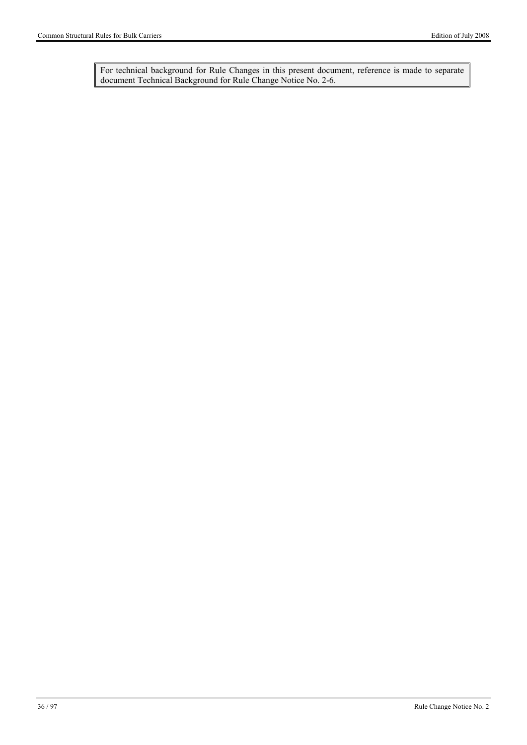For technical background for Rule Changes in this present document, reference is made to separate document Technical Background for Rule Change Notice No. 2-6.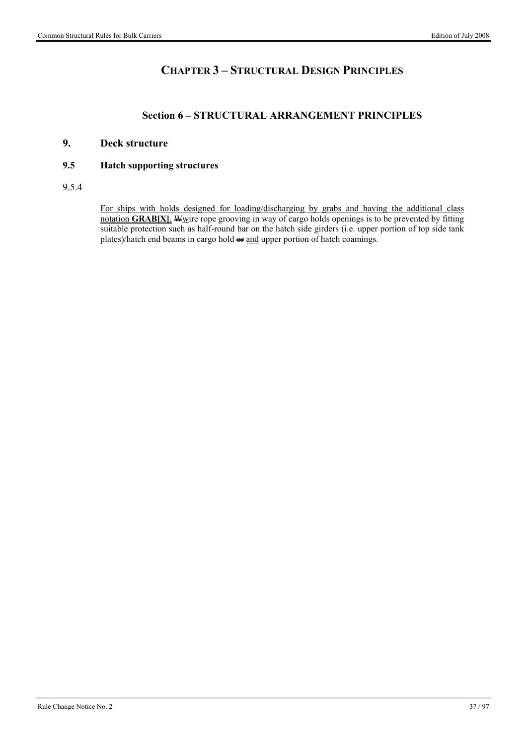## **CHAPTER 3 – STRUCTURAL DESIGN PRINCIPLES**

#### **Section 6 – STRUCTURAL ARRANGEMENT PRINCIPLES**

#### **9. Deck structure**

#### **9.5 Hatch supporting structures**

#### 9.5.4

For ships with holds designed for loading/discharging by grabs and having the additional class notation **GRAB[X], W**wire rope grooving in way of cargo holds openings is to be prevented by fitting suitable protection such as half-round bar on the hatch side girders (i.e. upper portion of top side tank plates)/hatch end beams in cargo hold  $\leftrightarrow$  and upper portion of hatch coamings.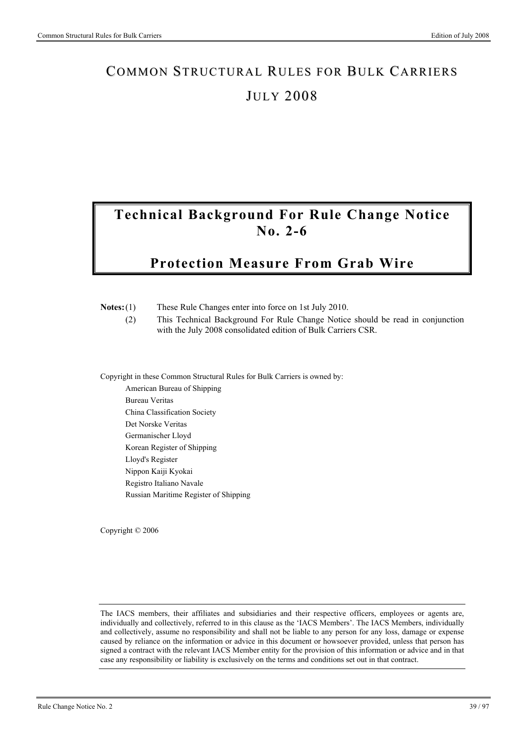# **Technical Background For Rule Change Notice No. 2-6**

# **Protection Measure From Grab Wire**

| $Notes:(1)$<br>(2) | These Rule Changes enter into force on 1st July 2010.<br>This Technical Background For Rule Change Notice should be read in conjunction<br>with the July 2008 consolidated edition of Bulk Carriers CSR. |
|--------------------|----------------------------------------------------------------------------------------------------------------------------------------------------------------------------------------------------------|
|                    | Copyright in these Common Structural Rules for Bulk Carriers is owned by:                                                                                                                                |
|                    | American Bureau of Shipping                                                                                                                                                                              |
|                    | Bureau Veritas                                                                                                                                                                                           |
|                    | China Classification Society                                                                                                                                                                             |
|                    | Det Norske Veritas                                                                                                                                                                                       |
|                    | Germanischer Lloyd                                                                                                                                                                                       |
|                    | Korean Register of Shipping                                                                                                                                                                              |
|                    | Lloyd's Register                                                                                                                                                                                         |
|                    | Nippon Kaiji Kyokai                                                                                                                                                                                      |

Copyright © 2006

Registro Italiano Navale

Russian Maritime Register of Shipping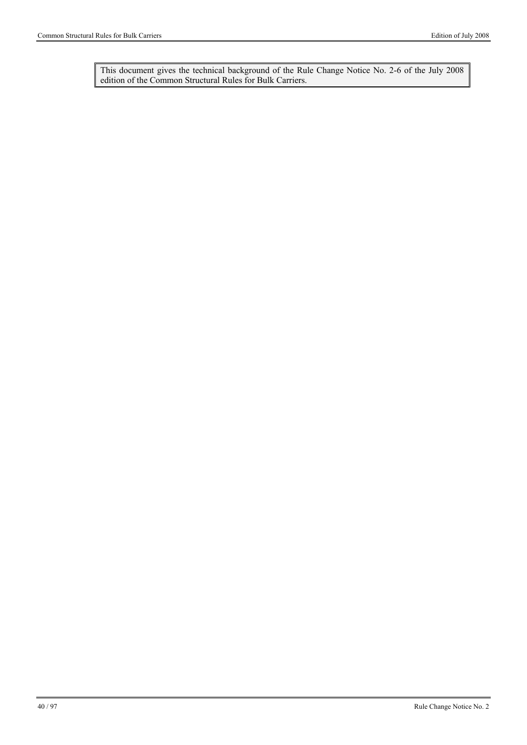This document gives the technical background of the Rule Change Notice No. 2-6 of the July 2008 edition of the Common Structural Rules for Bulk Carriers.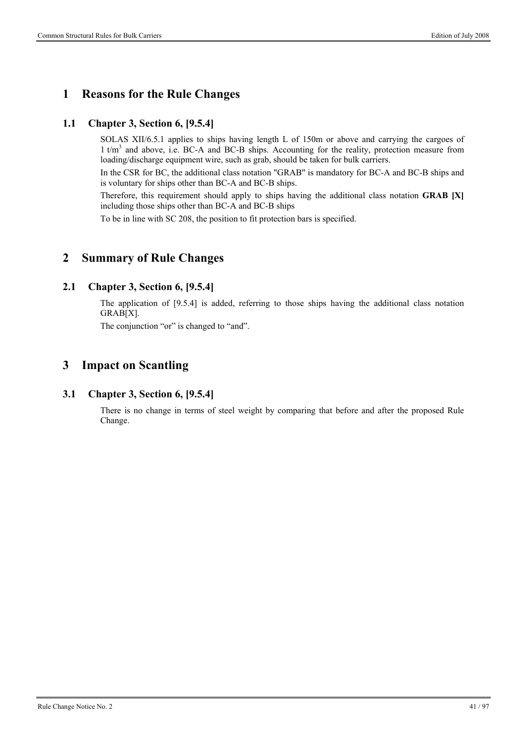### **1 Reasons for the Rule Changes**

#### **1.1 Chapter 3, Section 6, [9.5.4]**

SOLAS XII/6.5.1 applies to ships having length L of 150m or above and carrying the cargoes of 1 t/m<sup>3</sup> and above, i.e. BC-A and BC-B ships. Accounting for the reality, protection measure from loading/discharge equipment wire, such as grab, should be taken for bulk carriers.

In the CSR for BC, the additional class notation "GRAB" is mandatory for BC-A and BC-B ships and is voluntary for ships other than BC-A and BC-B ships.

Therefore, this requirement should apply to ships having the additional class notation **GRAB [X]** including those ships other than BC-A and BC-B ships

To be in line with SC 208, the position to fit protection bars is specified.

### **2 Summary of Rule Changes**

#### **2.1 Chapter 3, Section 6, [9.5.4]**

The application of [9.5.4] is added, referring to those ships having the additional class notation GRAB[X].

The conjunction "or" is changed to "and".

### **3 Impact on Scantling**

#### **3.1 Chapter 3, Section 6, [9.5.4]**

There is no change in terms of steel weight by comparing that before and after the proposed Rule Change.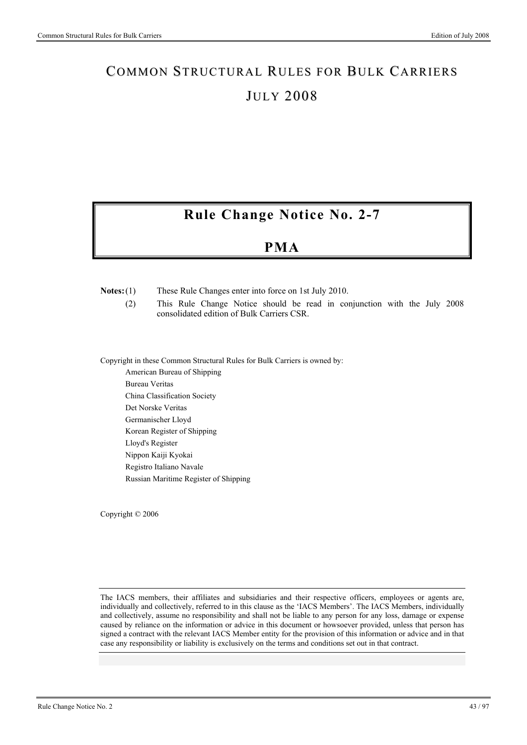# **Rule Change Notice No. 2-7**

## **PMA**

**Notes:** (1) These Rule Changes enter into force on 1st July 2010.

 (2) This Rule Change Notice should be read in conjunction with the July 2008 consolidated edition of Bulk Carriers CSR.

Copyright in these Common Structural Rules for Bulk Carriers is owned by:

American Bureau of Shipping Bureau Veritas China Classification Society Det Norske Veritas Germanischer Lloyd Korean Register of Shipping Lloyd's Register Nippon Kaiji Kyokai Registro Italiano Navale Russian Maritime Register of Shipping

Copyright © 2006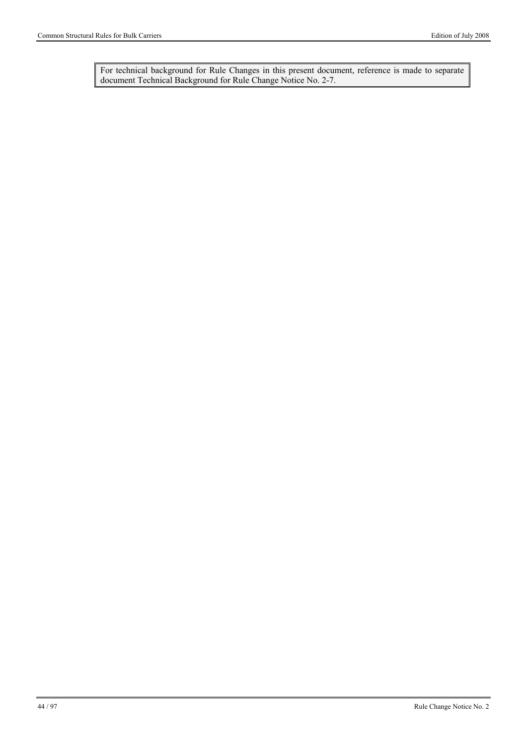For technical background for Rule Changes in this present document, reference is made to separate document Technical Background for Rule Change Notice No. 2-7.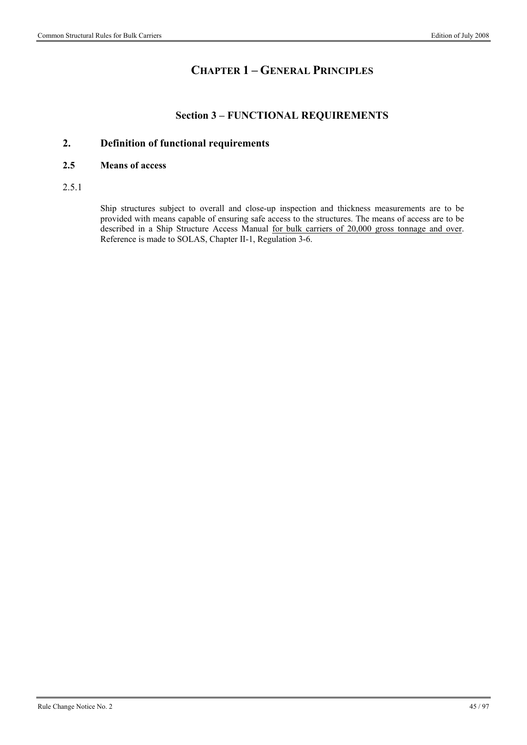## **CHAPTER 1 – GENERAL PRINCIPLES**

#### **Section 3 – FUNCTIONAL REQUIREMENTS**

#### **2. Definition of functional requirements**

#### **2.5 Means of access**

2.5.1

Ship structures subject to overall and close-up inspection and thickness measurements are to be provided with means capable of ensuring safe access to the structures. The means of access are to be described in a Ship Structure Access Manual for bulk carriers of 20,000 gross tonnage and over. Reference is made to SOLAS, Chapter II-1, Regulation 3-6.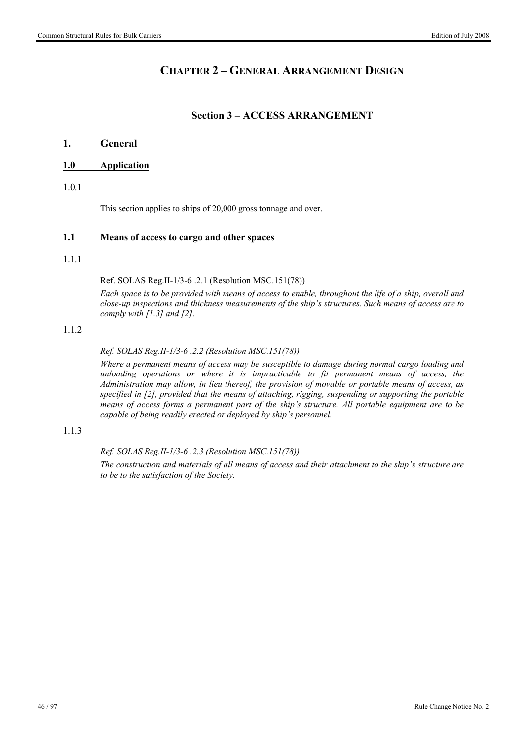### **CHAPTER 2 – GENERAL ARRANGEMENT DESIGN**

#### **Section 3 – ACCESS ARRANGEMENT**

#### **1. General**

#### **1.0 Application**

1.0.1

This section applies to ships of 20,000 gross tonnage and over.

#### **1.1 Means of access to cargo and other spaces**

#### 1.1.1

Ref. SOLAS Reg.II-1/3-6 .2.1 (Resolution MSC.151(78))

*Each space is to be provided with means of access to enable, throughout the life of a ship, overall and close-up inspections and thickness measurements of the ship's structures. Such means of access are to comply with [1.3] and [2].* 

#### 1.1.2

*Ref. SOLAS Reg.II-1/3-6 .2.2 (Resolution MSC.151(78))* 

*Where a permanent means of access may be susceptible to damage during normal cargo loading and unloading operations or where it is impracticable to fit permanent means of access, the Administration may allow, in lieu thereof, the provision of movable or portable means of access, as specified in [2], provided that the means of attaching, rigging, suspending or supporting the portable means of access forms a permanent part of the ship's structure. All portable equipment are to be capable of being readily erected or deployed by ship's personnel.* 

#### 1.1.3

*Ref. SOLAS Reg.II-1/3-6 .2.3 (Resolution MSC.151(78))* 

*The construction and materials of all means of access and their attachment to the ship's structure are to be to the satisfaction of the Society.*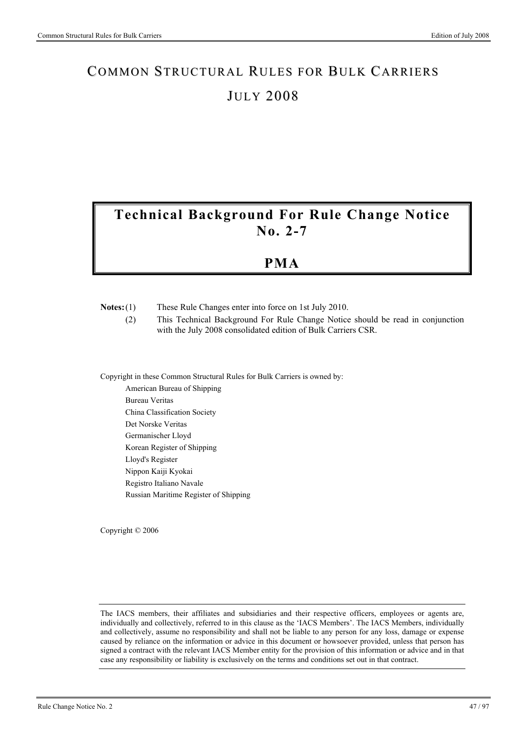# **Technical Background For Rule Change Notice No. 2-7**

## **PMA**

| $Notes:(1)$ | These Rule Changes enter into force on 1st July 2010. |  |
|-------------|-------------------------------------------------------|--|

 (2) This Technical Background For Rule Change Notice should be read in conjunction with the July 2008 consolidated edition of Bulk Carriers CSR.

Copyright in these Common Structural Rules for Bulk Carriers is owned by:

American Bureau of Shipping Bureau Veritas China Classification Society Det Norske Veritas Germanischer Lloyd Korean Register of Shipping Lloyd's Register Nippon Kaiji Kyokai Registro Italiano Navale Russian Maritime Register of Shipping

Copyright © 2006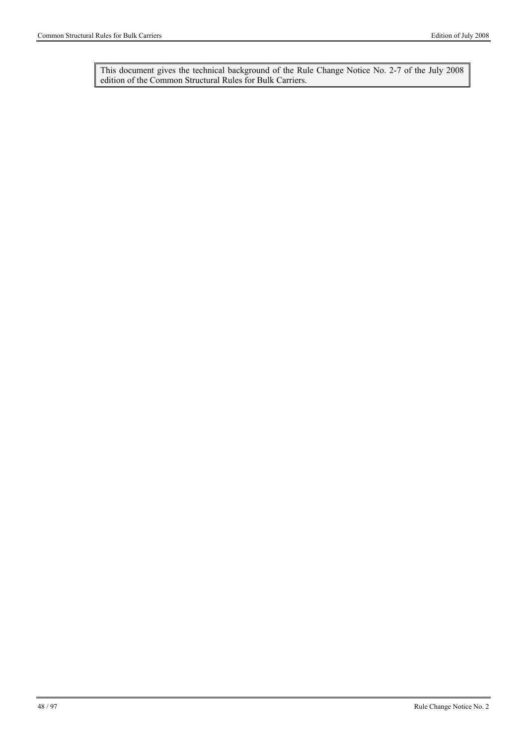This document gives the technical background of the Rule Change Notice No. 2-7 of the July 2008 edition of the Common Structural Rules for Bulk Carriers.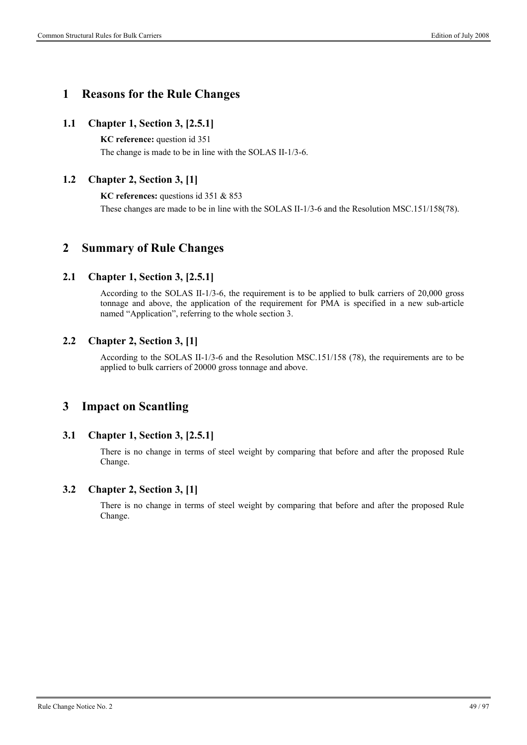### **1 Reasons for the Rule Changes**

#### **1.1 Chapter 1, Section 3, [2.5.1]**

**KC reference:** question id 351 The change is made to be in line with the SOLAS II-1/3-6.

#### **1.2 Chapter 2, Section 3, [1]**

**KC references:** questions id 351 & 853 These changes are made to be in line with the SOLAS II-1/3-6 and the Resolution MSC.151/158(78).

### **2 Summary of Rule Changes**

#### **2.1 Chapter 1, Section 3, [2.5.1]**

According to the SOLAS II-1/3-6, the requirement is to be applied to bulk carriers of 20,000 gross tonnage and above, the application of the requirement for PMA is specified in a new sub-article named "Application", referring to the whole section 3.

#### **2.2 Chapter 2, Section 3, [1]**

According to the SOLAS II-1/3-6 and the Resolution MSC.151/158 (78), the requirements are to be applied to bulk carriers of 20000 gross tonnage and above.

### **3 Impact on Scantling**

#### **3.1 Chapter 1, Section 3, [2.5.1]**

There is no change in terms of steel weight by comparing that before and after the proposed Rule Change.

#### **3.2 Chapter 2, Section 3, [1]**

There is no change in terms of steel weight by comparing that before and after the proposed Rule Change.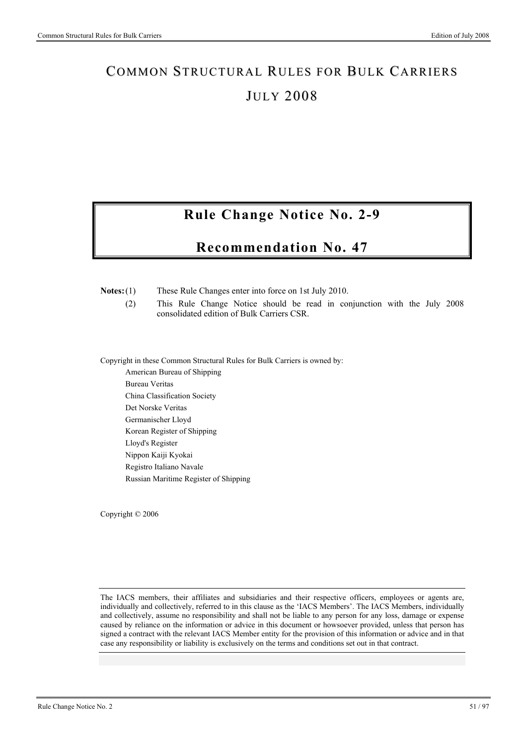# **Rule Change Notice No. 2-9**

## **Recommendation No. 47**

**Notes:** (1) These Rule Changes enter into force on 1st July 2010.

 (2) This Rule Change Notice should be read in conjunction with the July 2008 consolidated edition of Bulk Carriers CSR.

Copyright in these Common Structural Rules for Bulk Carriers is owned by:

American Bureau of Shipping Bureau Veritas China Classification Society Det Norske Veritas Germanischer Lloyd Korean Register of Shipping Lloyd's Register Nippon Kaiji Kyokai Registro Italiano Navale Russian Maritime Register of Shipping

Copyright © 2006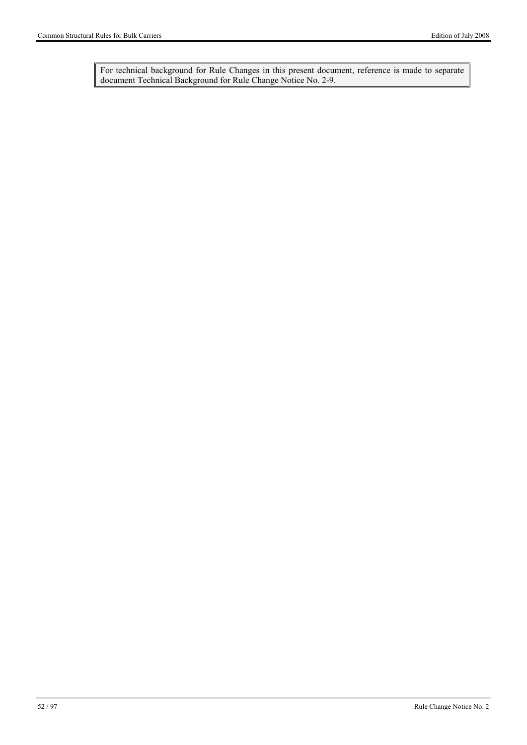For technical background for Rule Changes in this present document, reference is made to separate document Technical Background for Rule Change Notice No. 2-9.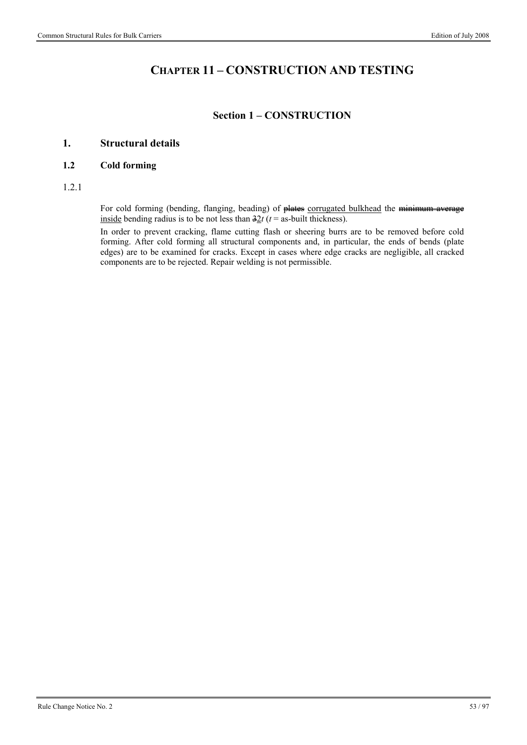## **CHAPTER 11 – CONSTRUCTION AND TESTING**

#### **Section 1 – CONSTRUCTION**

#### **1. Structural details**

#### **1.2 Cold forming**

1.2.1

For cold forming (bending, flanging, beading) of plates corrugated bulkhead the minimum average inside bending radius is to be not less than  $\frac{32t}{t}$  ( $t =$  as-built thickness).

In order to prevent cracking, flame cutting flash or sheering burrs are to be removed before cold forming. After cold forming all structural components and, in particular, the ends of bends (plate edges) are to be examined for cracks. Except in cases where edge cracks are negligible, all cracked components are to be rejected. Repair welding is not permissible.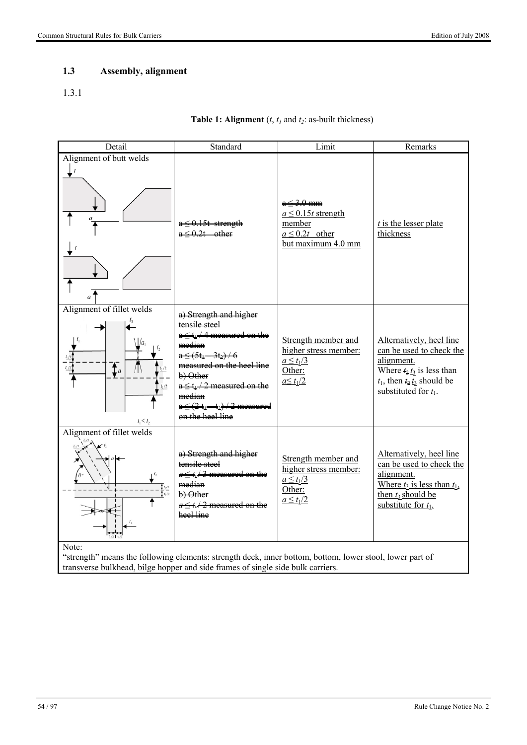### **1.3 Assembly, alignment**

#### 1.3.1

#### **Table 1: Alignment**  $(t, t_1)$  and  $t_2$ : as-built thickness)

| Detail                                                        | Standard                                                                                                                                                                                                                                                              | Limit                                                                                          | Remarks                                                                                                                                                             |
|---------------------------------------------------------------|-----------------------------------------------------------------------------------------------------------------------------------------------------------------------------------------------------------------------------------------------------------------------|------------------------------------------------------------------------------------------------|---------------------------------------------------------------------------------------------------------------------------------------------------------------------|
| Alignment of butt welds<br>$\boldsymbol{t}$<br>$\overline{a}$ |                                                                                                                                                                                                                                                                       | $a < 3.0$ mm<br>$a \leq 0.15t$ strength<br>member<br>$a \leq 0.2t$ other<br>but maximum 4.0 mm | $t$ is the lesser plate<br>thickness                                                                                                                                |
| Alignment of fillet welds<br> a <br>$\sum_{a}$<br>$t_1 < t_2$ | a) Strength and higher<br>tensile steel<br>$a \le t$ <sup>1</sup> /4 measured on the<br>median<br>$a \leq (5t_1 - 3t_2) + 6$<br>measured on the heel line<br>b) Other<br>$a \le t_1/2$ measured on the<br>median<br>$a \le (2t_1-t_2)/2$ measured<br>on the heel line | Strength member and<br>higher stress member:<br>$a \leq t_1/3$<br>Other:<br>$a \leq t_1/2$     | Alternatively, heel line<br>can be used to check the<br>alignment.<br>Where $t_2 t_3$ is less than<br>$t_1$ , then $t_2$ $t_3$ should be<br>substituted for $t_1$ . |
| Alignment of fillet welds<br>Note:                            | a) Strength and higher<br>tensile steel<br>$a \le t$ / 3 measured on the<br>median<br>b) Other<br>$a \le t$ / 2 measured on the<br>heel line                                                                                                                          | Strength member and<br>higher stress member:<br>$a \leq t_1/3$<br>Other:<br>$a \leq t_1/2$     | Alternatively, heel line<br>can be used to check the<br>alignment.<br>Where $t_3$ is less than $t_1$ ,<br>then $t_3$ should be<br>substitute for $t_1$ .            |

"strength" means the following elements: strength deck, inner bottom, bottom, lower stool, lower part of transverse bulkhead, bilge hopper and side frames of single side bulk carriers.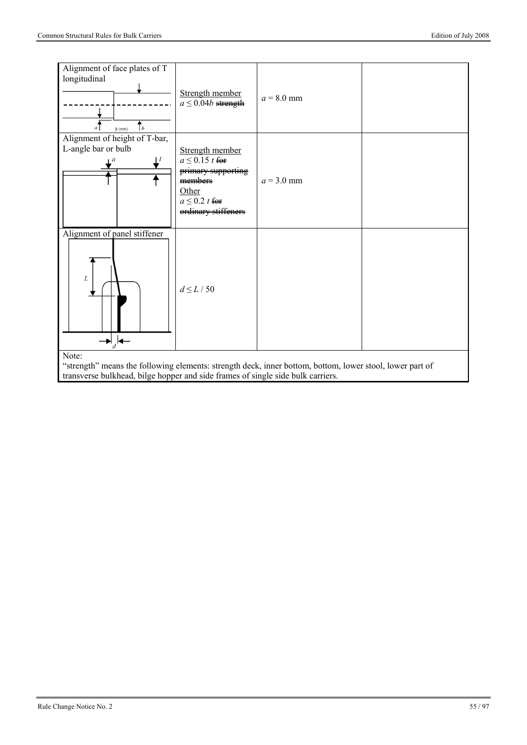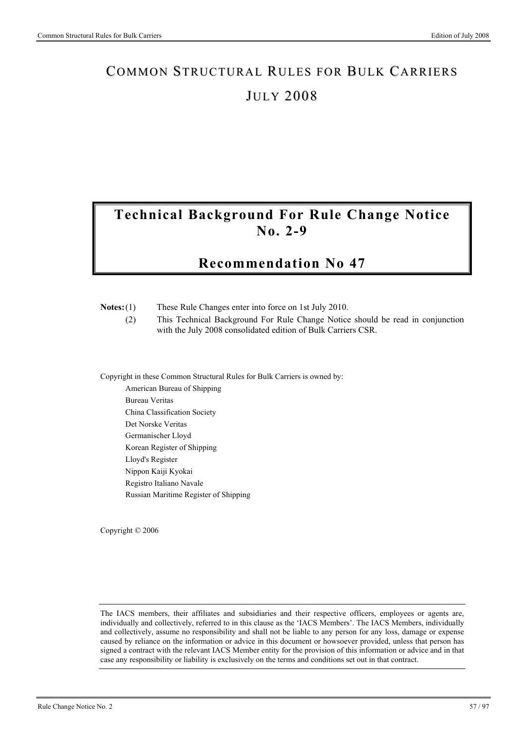# **Technical Background For Rule Change Notice No. 2-9**

## **Recommendation No 47**

| $Notes:(1)$ | These Rule Changes enter into force on 1st July 2010. |  |
|-------------|-------------------------------------------------------|--|

 (2) This Technical Background For Rule Change Notice should be read in conjunction with the July 2008 consolidated edition of Bulk Carriers CSR.

Copyright in these Common Structural Rules for Bulk Carriers is owned by:

American Bureau of Shipping Bureau Veritas China Classification Society Det Norske Veritas Germanischer Lloyd Korean Register of Shipping Lloyd's Register Nippon Kaiji Kyokai Registro Italiano Navale Russian Maritime Register of Shipping

Copyright © 2006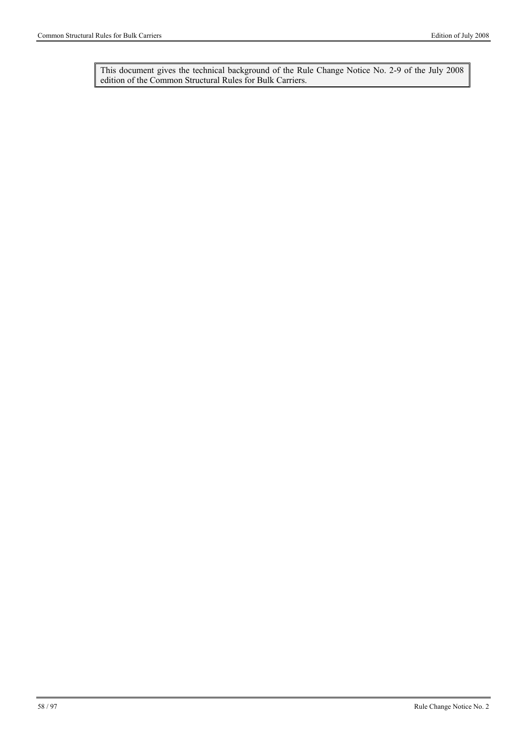This document gives the technical background of the Rule Change Notice No. 2-9 of the July 2008 edition of the Common Structural Rules for Bulk Carriers.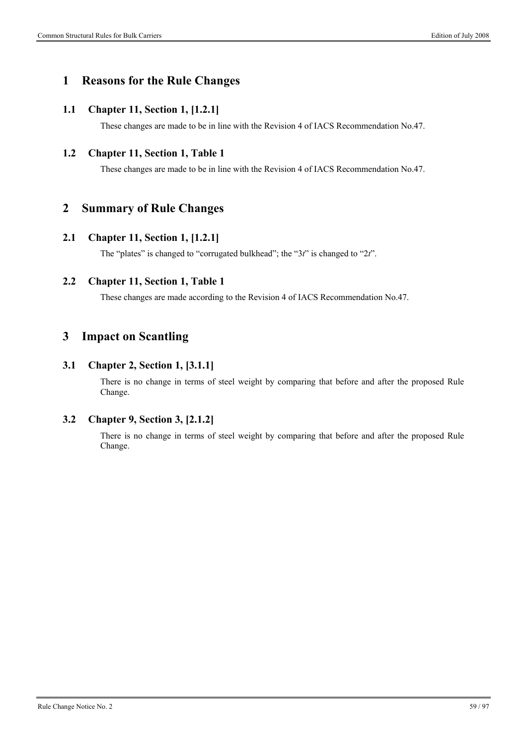### **1 Reasons for the Rule Changes**

#### **1.1 Chapter 11, Section 1, [1.2.1]**

These changes are made to be in line with the Revision 4 of IACS Recommendation No.47.

#### **1.2 Chapter 11, Section 1, Table 1**

These changes are made to be in line with the Revision 4 of IACS Recommendation No.47.

### **2 Summary of Rule Changes**

#### **2.1 Chapter 11, Section 1, [1.2.1]**

The "plates" is changed to "corrugated bulkhead"; the "3*t*" is changed to "2*t*".

#### **2.2 Chapter 11, Section 1, Table 1**

These changes are made according to the Revision 4 of IACS Recommendation No.47.

### **3 Impact on Scantling**

#### **3.1 Chapter 2, Section 1, [3.1.1]**

There is no change in terms of steel weight by comparing that before and after the proposed Rule Change.

#### **3.2 Chapter 9, Section 3, [2.1.2]**

There is no change in terms of steel weight by comparing that before and after the proposed Rule Change.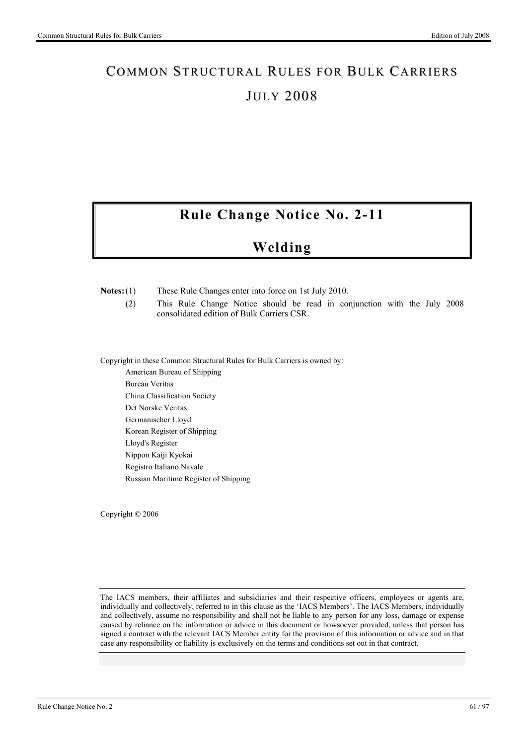# **Rule Change Notice No. 2-11**

# **Welding**

**Notes:** (1) These Rule Changes enter into force on 1st July 2010.

 (2) This Rule Change Notice should be read in conjunction with the July 2008 consolidated edition of Bulk Carriers CSR.

Copyright in these Common Structural Rules for Bulk Carriers is owned by:

American Bureau of Shipping Bureau Veritas China Classification Society Det Norske Veritas Germanischer Lloyd Korean Register of Shipping Lloyd's Register Nippon Kaiji Kyokai Registro Italiano Navale Russian Maritime Register of Shipping

Copyright © 2006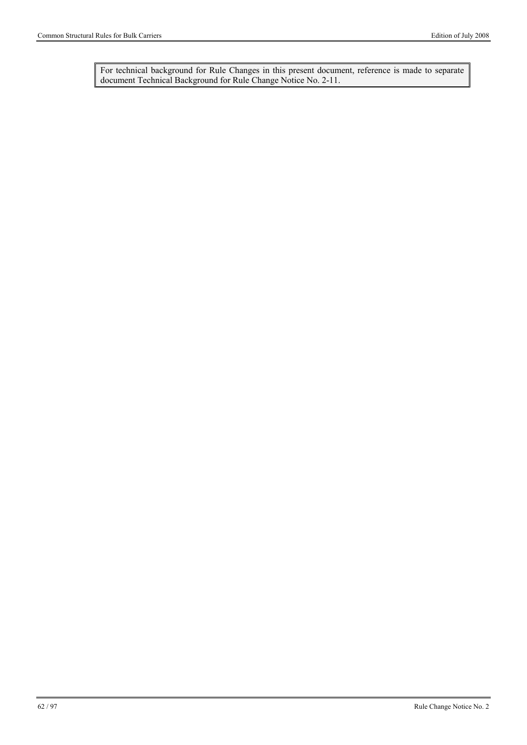For technical background for Rule Changes in this present document, reference is made to separate document Technical Background for Rule Change Notice No. 2-11.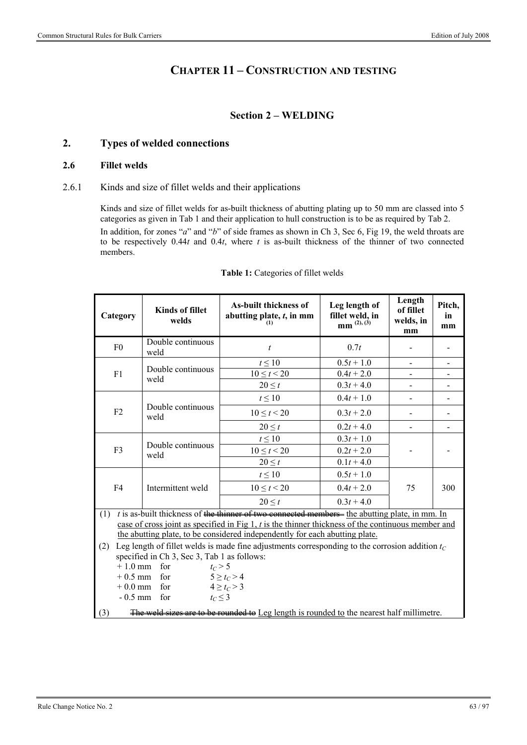### **CHAPTER 11 – CONSTRUCTION AND TESTING**

#### **Section 2 – WELDING**

#### **2. Types of welded connections**

#### **2.6 Fillet welds**

#### 2.6.1 Kinds and size of fillet welds and their applications

Kinds and size of fillet welds for as-built thickness of abutting plating up to 50 mm are classed into 5 categories as given in Tab 1 and their application to hull construction is to be as required by Tab 2.

In addition, for zones "*a*" and "*b*" of side frames as shown in Ch 3, Sec 6, Fig 19, the weld throats are to be respectively 0.44*t* and 0.4*t*, where *t* is as-built thickness of the thinner of two connected members.

| Category       | <b>Kinds of fillet</b><br>welds             | <b>As-built thickness of</b><br>abutting plate, $t$ , in mm<br>(1)                                   | Leg length of<br>fillet weld, in<br>mm <sup>(2), (3)</sup> | Length<br>of fillet<br>welds, in<br>mm | Pitch,<br>in<br>mm |
|----------------|---------------------------------------------|------------------------------------------------------------------------------------------------------|------------------------------------------------------------|----------------------------------------|--------------------|
| F <sub>0</sub> | Double continuous<br>weld                   | t                                                                                                    | 0.7t                                                       |                                        |                    |
|                | Double continuous                           | $t \leq 10$                                                                                          | $0.5t + 1.0$                                               |                                        |                    |
| F1             | weld                                        | $10 \le t < 20$                                                                                      | $0.4t + 2.0$                                               |                                        | -                  |
|                |                                             | $20 \leq t$                                                                                          | $0.3t + 4.0$                                               |                                        |                    |
|                |                                             | $t \leq 10$                                                                                          | $0.4t + 1.0$                                               |                                        |                    |
| F2             | Double continuous<br>weld                   | $10 \le t < 20$                                                                                      | $0.3t + 2.0$                                               |                                        |                    |
|                |                                             | $20 \leq t$                                                                                          | $0.2t + 4.0$                                               |                                        | $\overline{a}$     |
|                |                                             | $t \leq 10$                                                                                          | $0.3t + 1.0$                                               |                                        |                    |
| F3             | Double continuous<br>weld                   | $10 \le t < 20$                                                                                      | $0.2t + 2.0$                                               |                                        |                    |
|                |                                             | $20 \leq t$                                                                                          | $0.1t + 4.0$                                               |                                        |                    |
|                |                                             | $t \leq 10$                                                                                          | $0.5t + 1.0$                                               |                                        |                    |
| F4             | Intermittent weld                           | $10 \le t < 20$                                                                                      | $0.4t + 2.0$                                               | 75                                     | 300                |
|                |                                             | $20 \leq t$                                                                                          | $0.3t + 4.0$                                               |                                        |                    |
| (1)            |                                             | $t$ is as-built thickness of the thinner of two connected members- the abutting plate, in mm. In     |                                                            |                                        |                    |
|                |                                             | case of cross joint as specified in Fig $1, t$ is the thinner thickness of the continuous member and |                                                            |                                        |                    |
|                |                                             | the abutting plate, to be considered independently for each abutting plate.                          |                                                            |                                        |                    |
| (2)            |                                             | Leg length of fillet welds is made fine adjustments corresponding to the corrosion addition $t_c$    |                                                            |                                        |                    |
|                | specified in Ch 3, Sec 3, Tab 1 as follows: |                                                                                                      |                                                            |                                        |                    |
|                | $+1.0$ mm for                               | $t_C > 5$                                                                                            |                                                            |                                        |                    |
|                | $+0.5$ mm for                               | $5 \ge t_C > 4$                                                                                      |                                                            |                                        |                    |
|                | $+0.0$ mm for                               | $4 \ge t_C > 3$                                                                                      |                                                            |                                        |                    |
|                | $-0.5$ mm for                               | $t_c \leq 3$                                                                                         |                                                            |                                        |                    |
| (3)            |                                             | The weld sizes are to be rounded to Leg length is rounded to the nearest half millimetre.            |                                                            |                                        |                    |

#### **Table 1:** Categories of fillet welds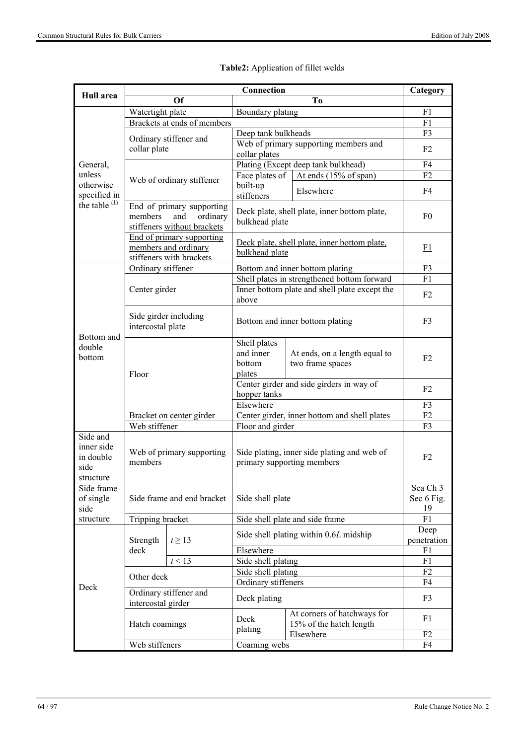|                                                          | Connection                                   |                                                                               |                                                                           |                                                                     | Category             |
|----------------------------------------------------------|----------------------------------------------|-------------------------------------------------------------------------------|---------------------------------------------------------------------------|---------------------------------------------------------------------|----------------------|
| Hull area                                                |                                              | Of                                                                            |                                                                           |                                                                     |                      |
|                                                          | Watertight plate<br>Boundary plating         |                                                                               |                                                                           | To                                                                  | F1                   |
|                                                          |                                              | Brackets at ends of members                                                   |                                                                           |                                                                     | F1                   |
|                                                          |                                              |                                                                               | Deep tank bulkheads                                                       |                                                                     | F3                   |
|                                                          | Ordinary stiffener and<br>collar plate       |                                                                               | collar plates                                                             | Web of primary supporting members and                               | F <sub>2</sub>       |
| General,                                                 |                                              |                                                                               |                                                                           | Plating (Except deep tank bulkhead)                                 | F4                   |
| unless                                                   |                                              | Web of ordinary stiffener                                                     |                                                                           | Face plates of   At ends (15% of span)                              | F2                   |
| otherwise<br>specified in                                |                                              |                                                                               | built-up<br>stiffeners                                                    | Elsewhere                                                           | F4                   |
| the table $(1)$                                          | members                                      | End of primary supporting<br>and<br>ordinary<br>stiffeners without brackets   | bulkhead plate                                                            | Deck plate, shell plate, inner bottom plate,                        | F <sub>0</sub>       |
|                                                          |                                              | End of primary supporting<br>members and ordinary<br>stiffeners with brackets | bulkhead plate                                                            | Deck plate, shell plate, inner bottom plate,                        | <u>F1</u>            |
|                                                          | Ordinary stiffener                           |                                                                               |                                                                           | Bottom and inner bottom plating                                     | F3                   |
|                                                          |                                              |                                                                               |                                                                           | Shell plates in strengthened bottom forward                         | F1                   |
|                                                          | Center girder                                |                                                                               | above                                                                     | Inner bottom plate and shell plate except the                       | F <sub>2</sub>       |
| Bottom and                                               | Side girder including<br>intercostal plate   |                                                                               | Bottom and inner bottom plating                                           |                                                                     | F <sub>3</sub>       |
| double<br>bottom                                         | Floor                                        |                                                                               | Shell plates<br>and inner<br>bottom<br>plates                             | At ends, on a length equal to<br>two frame spaces                   | F <sub>2</sub>       |
|                                                          |                                              |                                                                               | Center girder and side girders in way of<br>hopper tanks                  | F <sub>2</sub>                                                      |                      |
|                                                          |                                              |                                                                               | Elsewhere                                                                 |                                                                     | F3                   |
|                                                          | Bracket on center girder                     |                                                                               |                                                                           | Center girder, inner bottom and shell plates                        | F <sub>2</sub>       |
|                                                          | Web stiffener                                |                                                                               | Floor and girder                                                          |                                                                     | F3                   |
| Side and<br>inner side<br>in double<br>side<br>structure | members                                      | Web of primary supporting                                                     | Side plating, inner side plating and web of<br>primary supporting members |                                                                     | F <sub>2</sub>       |
| Side frame                                               |                                              |                                                                               |                                                                           | Sea Ch 3                                                            |                      |
| of single                                                |                                              | Side frame and end bracket                                                    | Side shell plate                                                          | Sec 6 Fig.                                                          |                      |
| side                                                     |                                              |                                                                               |                                                                           |                                                                     | 19                   |
| structure                                                | Tripping bracket                             |                                                                               |                                                                           | Side shell plate and side frame                                     | F1                   |
|                                                          | Strength                                     | $t \geq 13$                                                                   | Side shell plating within 0.6L midship                                    |                                                                     | Deep<br>penetration  |
|                                                          | deck                                         |                                                                               | Elsewhere                                                                 |                                                                     | F1                   |
|                                                          |                                              | t < 13                                                                        | Side shell plating                                                        |                                                                     | F1                   |
|                                                          | Other deck                                   |                                                                               | Side shell plating<br>Ordinary stiffeners                                 |                                                                     | F2<br>F4             |
| Deck                                                     | Ordinary stiffener and<br>intercostal girder |                                                                               | Deck plating                                                              |                                                                     | F3                   |
|                                                          | Hatch coamings                               |                                                                               | Deck<br>plating                                                           | At corners of hatchways for<br>15% of the hatch length<br>Elsewhere | F1<br>F <sub>2</sub> |
|                                                          | Web stiffeners                               |                                                                               | Coaming webs                                                              |                                                                     | F4                   |

### **Table2:** Application of fillet welds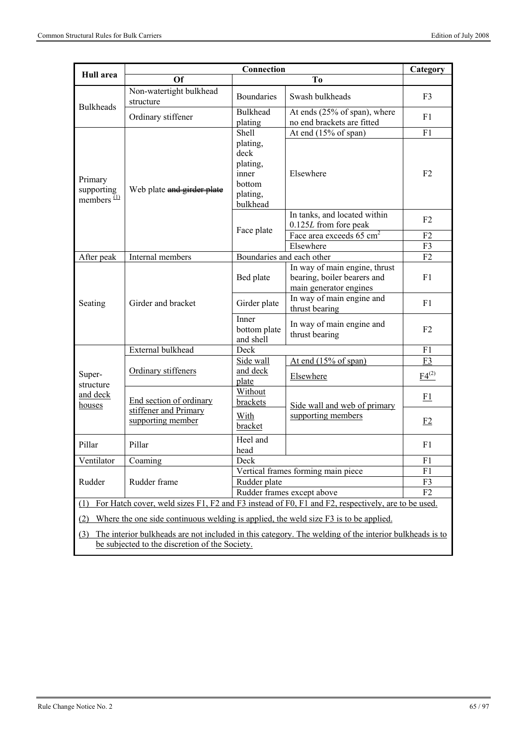|                                        | Connection                                                            |                                                                         |                                                                                                       | Category       |
|----------------------------------------|-----------------------------------------------------------------------|-------------------------------------------------------------------------|-------------------------------------------------------------------------------------------------------|----------------|
| Hull area                              | Of                                                                    |                                                                         | To                                                                                                    |                |
| <b>Bulkheads</b>                       | Non-watertight bulkhead<br>structure                                  | <b>Boundaries</b>                                                       | Swash bulkheads                                                                                       | F <sub>3</sub> |
|                                        | Ordinary stiffener                                                    | <b>Bulkhead</b><br>plating                                              | At ends (25% of span), where<br>no end brackets are fitted                                            | F1             |
|                                        |                                                                       | Shell                                                                   | At end (15% of span)                                                                                  | F1             |
| Primary<br>supporting<br>members $(1)$ | Web plate and girder plate                                            | plating,<br>deck<br>plating,<br>inner<br>bottom<br>plating,<br>bulkhead | Elsewhere                                                                                             | F <sub>2</sub> |
|                                        |                                                                       |                                                                         | In tanks, and located within                                                                          | F <sub>2</sub> |
|                                        |                                                                       | Face plate                                                              | 0.125L from fore peak                                                                                 |                |
|                                        |                                                                       |                                                                         | Face area exceeds 65 cm <sup>2</sup>                                                                  | F2             |
|                                        |                                                                       |                                                                         | Elsewhere                                                                                             | F3             |
| After peak                             | Internal members                                                      | Boundaries and each other                                               |                                                                                                       | F2             |
|                                        | Girder and bracket                                                    | Bed plate                                                               | In way of main engine, thrust<br>bearing, boiler bearers and<br>main generator engines                | F1             |
| Seating                                |                                                                       | Girder plate                                                            | In way of main engine and<br>thrust bearing                                                           | F1             |
|                                        |                                                                       | Inner<br>bottom plate<br>and shell                                      | In way of main engine and<br>thrust bearing                                                           | F <sub>2</sub> |
|                                        | External bulkhead                                                     | Deck                                                                    |                                                                                                       | F1             |
|                                        |                                                                       | Side wall                                                               | At end $(15\% \text{ of span})$                                                                       | F3             |
| Super-<br>structure                    | Ordinary stiffeners                                                   | and deck<br>plate                                                       | Elsewhere                                                                                             | $F4^{(2)}$     |
| and deck<br>houses                     | End section of ordinary<br>stiffener and Primary<br>supporting member | Without<br>brackets                                                     | Side wall and web of primary                                                                          | F1             |
|                                        |                                                                       | With<br>bracket                                                         | supporting members                                                                                    | E2             |
| Pillar                                 | Pillar                                                                | Heel and<br>head                                                        |                                                                                                       | F1             |
| Ventilator                             | Coaming                                                               | Deck                                                                    |                                                                                                       | F1             |
|                                        |                                                                       | Vertical frames forming main piece                                      | F1                                                                                                    |                |
| Rudder                                 | Rudder frame                                                          | Rudder plate                                                            | F3                                                                                                    |                |
|                                        |                                                                       |                                                                         | Rudder frames except above                                                                            | F <sub>2</sub> |
| $\omega$                               |                                                                       |                                                                         | For Hatch cover, weld sizes F1, F2 and F3 instead of F0, F1 and F2, respectively, are to be used.     |                |
| (2)                                    |                                                                       |                                                                         | Where the one side continuous welding is applied, the weld size F3 is to be applied.                  |                |
| (3)                                    |                                                                       |                                                                         | The interior bulkheads are not included in this category. The welding of the interior bulkheads is to |                |
|                                        | be subjected to the discretion of the Society.                        |                                                                         |                                                                                                       |                |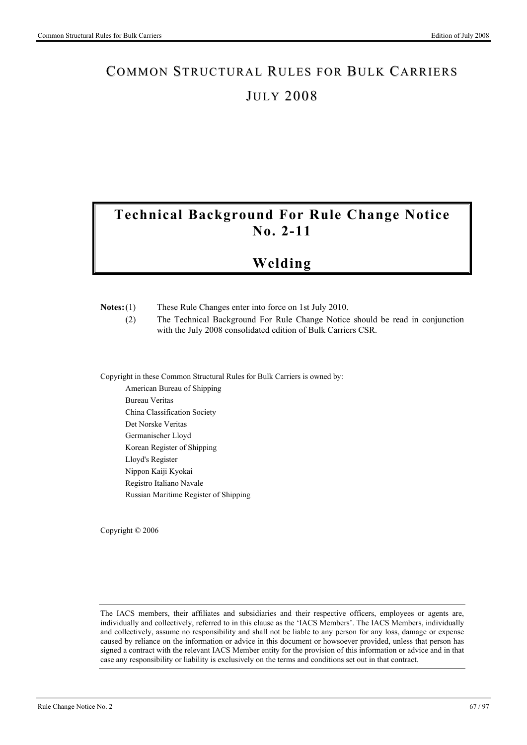# **Technical Background For Rule Change Notice No. 2-11**

# **Welding**

| $Notes:(1)$ | These Rule Changes enter into force on 1st July 2010. |  |
|-------------|-------------------------------------------------------|--|

 (2) The Technical Background For Rule Change Notice should be read in conjunction with the July 2008 consolidated edition of Bulk Carriers CSR.

Copyright in these Common Structural Rules for Bulk Carriers is owned by:

American Bureau of Shipping Bureau Veritas China Classification Society Det Norske Veritas Germanischer Lloyd Korean Register of Shipping Lloyd's Register Nippon Kaiji Kyokai Registro Italiano Navale Russian Maritime Register of Shipping

Copyright © 2006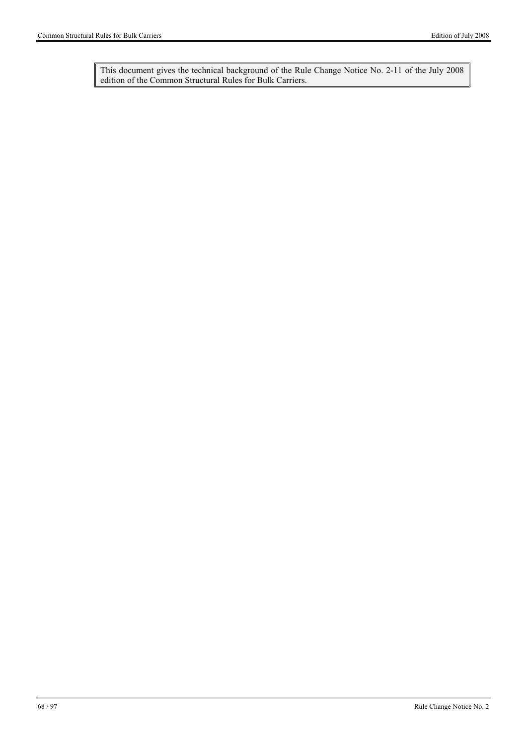This document gives the technical background of the Rule Change Notice No. 2-11 of the July 2008 edition of the Common Structural Rules for Bulk Carriers.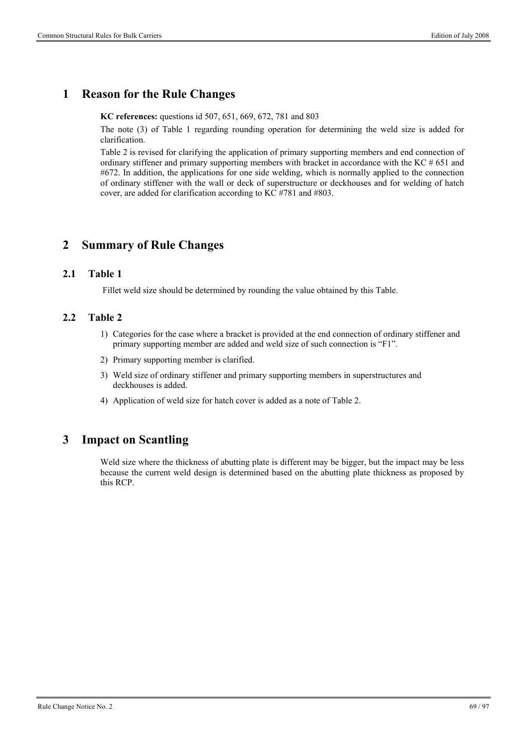### **1 Reason for the Rule Changes**

**KC references:** questions id 507, 651, 669, 672, 781 and 803

The note (3) of Table 1 regarding rounding operation for determining the weld size is added for clarification.

Table 2 is revised for clarifying the application of primary supporting members and end connection of ordinary stiffener and primary supporting members with bracket in accordance with the KC  $#651$  and #672. In addition, the applications for one side welding, which is normally applied to the connection of ordinary stiffener with the wall or deck of superstructure or deckhouses and for welding of hatch cover, are added for clarification according to KC #781 and #803.

### **2 Summary of Rule Changes**

#### **2.1 Table 1**

Fillet weld size should be determined by rounding the value obtained by this Table.

#### **2.2 Table 2**

- 1) Categories for the case where a bracket is provided at the end connection of ordinary stiffener and primary supporting member are added and weld size of such connection is "F1".
- 2) Primary supporting member is clarified.
- 3) Weld size of ordinary stiffener and primary supporting members in superstructures and deckhouses is added.
- 4) Application of weld size for hatch cover is added as a note of Table 2.

### **3 Impact on Scantling**

Weld size where the thickness of abutting plate is different may be bigger, but the impact may be less because the current weld design is determined based on the abutting plate thickness as proposed by this RCP.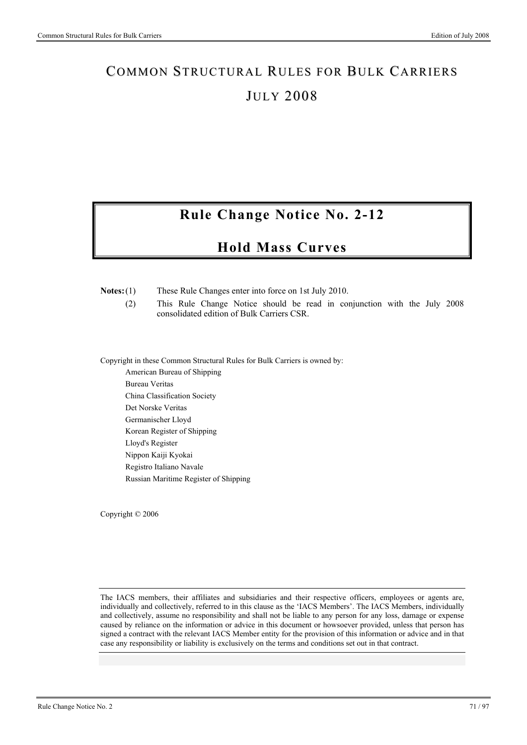# **Rule Change Notice No. 2-12**

## **Hold Mass Curves**

**Notes:** (1) These Rule Changes enter into force on 1st July 2010.

 (2) This Rule Change Notice should be read in conjunction with the July 2008 consolidated edition of Bulk Carriers CSR.

Copyright in these Common Structural Rules for Bulk Carriers is owned by:

American Bureau of Shipping Bureau Veritas China Classification Society Det Norske Veritas Germanischer Lloyd Korean Register of Shipping Lloyd's Register Nippon Kaiji Kyokai Registro Italiano Navale Russian Maritime Register of Shipping

Copyright © 2006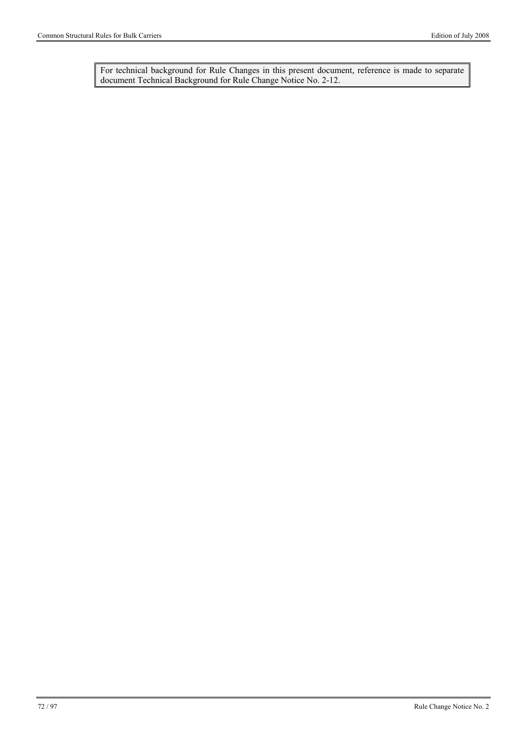For technical background for Rule Changes in this present document, reference is made to separate document Technical Background for Rule Change Notice No. 2-12.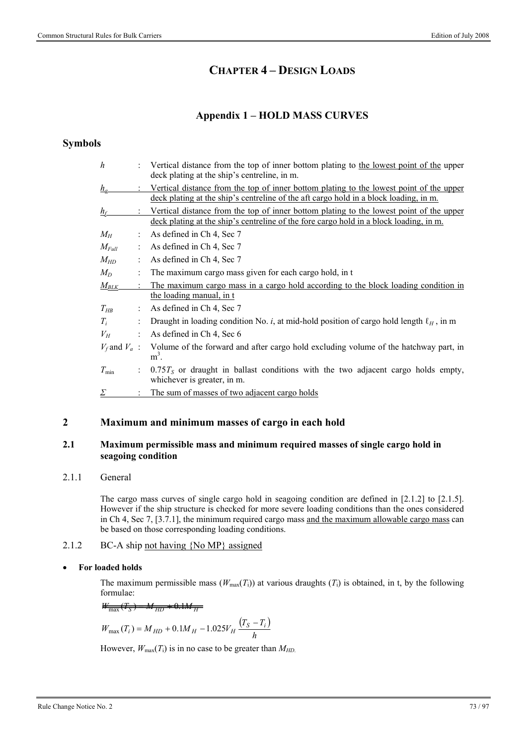# **CHAPTER 4 – DESIGN LOADS**

### **Appendix 1 – HOLD MASS CURVES**

### **Symbols**

| $h_a$<br>deck plating at the ship's centreline of the aft cargo hold in a block loading, in m.<br>$h_f$<br>deck plating at the ship's centreline of the fore cargo hold in a block loading, in m.<br>As defined in Ch 4, Sec 7<br>$M_H$<br>As defined in Ch 4, Sec 7<br>$M_{Full}$<br>As defined in Ch 4, Sec 7<br>$M_{HD}$<br>The maximum cargo mass given for each cargo hold, in t<br>$M_D$<br>$M_{BLK}$<br>the loading manual, in t<br>As defined in Ch 4, Sec 7<br>$T_{HB}$<br>Draught in loading condition No. i, at mid-hold position of cargo hold length $\ell_H$ , in m<br>$T_i$<br>As defined in Ch 4, Sec 6<br>$V_H$<br>$V_f$ and $V_a$ :<br>$m3$ .<br>$T_{\rm min}$<br>whichever is greater, in m. | $\boldsymbol{h}$ | Vertical distance from the top of inner bottom plating to the lowest point of the upper<br>deck plating at the ship's centreline, in m. |
|-----------------------------------------------------------------------------------------------------------------------------------------------------------------------------------------------------------------------------------------------------------------------------------------------------------------------------------------------------------------------------------------------------------------------------------------------------------------------------------------------------------------------------------------------------------------------------------------------------------------------------------------------------------------------------------------------------------------|------------------|-----------------------------------------------------------------------------------------------------------------------------------------|
|                                                                                                                                                                                                                                                                                                                                                                                                                                                                                                                                                                                                                                                                                                                 |                  | Vertical distance from the top of inner bottom plating to the lowest point of the upper                                                 |
|                                                                                                                                                                                                                                                                                                                                                                                                                                                                                                                                                                                                                                                                                                                 |                  | Vertical distance from the top of inner bottom plating to the lowest point of the upper                                                 |
|                                                                                                                                                                                                                                                                                                                                                                                                                                                                                                                                                                                                                                                                                                                 |                  |                                                                                                                                         |
|                                                                                                                                                                                                                                                                                                                                                                                                                                                                                                                                                                                                                                                                                                                 |                  |                                                                                                                                         |
|                                                                                                                                                                                                                                                                                                                                                                                                                                                                                                                                                                                                                                                                                                                 |                  |                                                                                                                                         |
|                                                                                                                                                                                                                                                                                                                                                                                                                                                                                                                                                                                                                                                                                                                 |                  |                                                                                                                                         |
|                                                                                                                                                                                                                                                                                                                                                                                                                                                                                                                                                                                                                                                                                                                 |                  | The maximum cargo mass in a cargo hold according to the block loading condition in                                                      |
|                                                                                                                                                                                                                                                                                                                                                                                                                                                                                                                                                                                                                                                                                                                 |                  |                                                                                                                                         |
|                                                                                                                                                                                                                                                                                                                                                                                                                                                                                                                                                                                                                                                                                                                 |                  |                                                                                                                                         |
|                                                                                                                                                                                                                                                                                                                                                                                                                                                                                                                                                                                                                                                                                                                 |                  |                                                                                                                                         |
|                                                                                                                                                                                                                                                                                                                                                                                                                                                                                                                                                                                                                                                                                                                 |                  |                                                                                                                                         |
|                                                                                                                                                                                                                                                                                                                                                                                                                                                                                                                                                                                                                                                                                                                 |                  | Volume of the forward and after cargo hold excluding volume of the hatchway part, in                                                    |
|                                                                                                                                                                                                                                                                                                                                                                                                                                                                                                                                                                                                                                                                                                                 |                  | $0.75T_s$ or draught in ballast conditions with the two adjacent cargo holds empty,                                                     |
|                                                                                                                                                                                                                                                                                                                                                                                                                                                                                                                                                                                                                                                                                                                 | $\sum$           | The sum of masses of two adjacent cargo holds                                                                                           |

### **2 Maximum and minimum masses of cargo in each hold**

### **2.1 Maximum permissible mass and minimum required masses of single cargo hold in seagoing condition**

### 2.1.1 General

The cargo mass curves of single cargo hold in seagoing condition are defined in [2.1.2] to [2.1.5]. However if the ship structure is checked for more severe loading conditions than the ones considered in Ch 4, Sec 7, [3.7.1], the minimum required cargo mass and the maximum allowable cargo mass can be based on those corresponding loading conditions.

### 2.1.2 BC-A ship not having {No MP} assigned

### **For loaded holds**

The maximum permissible mass  $(W_{\text{max}}(T_i))$  at various draughts  $(T_i)$  is obtained, in t, by the following formulae:

$$
W_{\text{max}}(T_S) = M_{HD} + 0.1 M_{H}
$$

$$
W_{\text{max}}(T_i) = M_{HD} + 0.1M_H - 1.025V_H \frac{(T_S - T_i)}{h}
$$

However,  $W_{\text{max}}(T_i)$  is in no case to be greater than  $M_{HD}$ .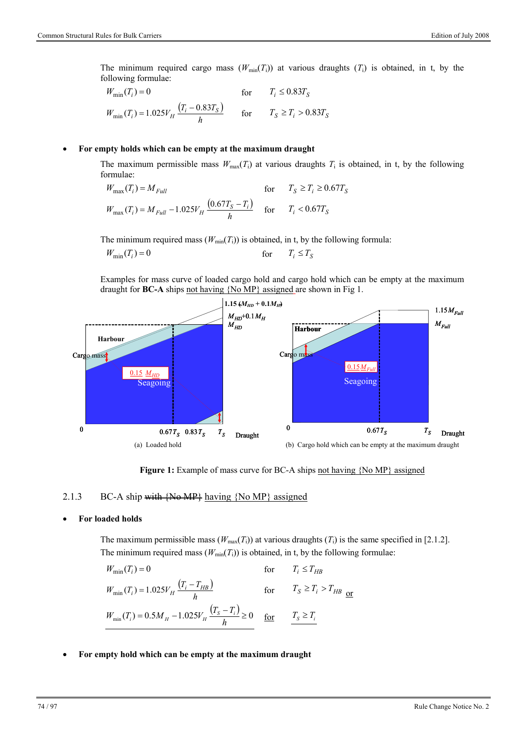The minimum required cargo mass  $(W_{min}(T_i))$  at various draughts  $(T_i)$  is obtained, in t, by the following formulae:

$$
W_{\min}(T_i) = 0 \qquad \text{for} \qquad T_i \le 0.83T_S
$$
  

$$
W_{\min}(T_i) = 1.025V_H \frac{(T_i - 0.83T_S)}{h} \qquad \text{for} \qquad T_S \ge T_i > 0.83T_S
$$

#### **For empty holds which can be empty at the maximum draught**

The maximum permissible mass  $W_{\text{max}}(T_i)$  at various draughts  $T_i$  is obtained, in t, by the following formulae:

$$
W_{\text{max}}(T_i) = M_{Full} \qquad \text{for} \qquad T_S \ge T_i \ge 0.67T_S
$$
  

$$
W_{\text{max}}(T_i) = M_{Full} - 1.025V_H \frac{(0.67T_S - T_i)}{h} \qquad \text{for} \qquad T_i < 0.67T_S
$$

The minimum required mass  $(W_{min}(T_i))$  is obtained, in t, by the following formula:

$$
W_{\min}(T_i) = 0 \t\t for \t\t T_i \le T_S
$$

Examples for mass curve of loaded cargo hold and cargo hold which can be empty at the maximum draught for **BC-A** ships not having {No MP} assigned are shown in Fig 1.



**Figure 1:** Example of mass curve for BC-A ships not having {No MP} assigned

#### 2.1.3 BC-A ship with  ${N\omega M}$  having  ${N\omega M}$  assigned

#### **For loaded holds**

The maximum permissible mass  $(W_{\text{max}}(T_i))$  at various draughts  $(T_i)$  is the same specified in [2.1.2]. The minimum required mass  $(W_{min}(T_i))$  is obtained, in t, by the following formulae:

$$
W_{\min}(T_i) = 0 \qquad \text{for} \qquad T_i \le T_{HB}
$$
  
\n
$$
W_{\min}(T_i) = 1.025V_H \frac{(T_i - T_{HB})}{h} \qquad \text{for} \qquad T_S \ge T_i > T_{HB} \underline{\text{or}}
$$
  
\n
$$
W_{\min}(T_i) = 0.5M_H - 1.025V_H \frac{(T_S - T_i)}{h} \ge 0 \qquad \underline{\text{for}} \qquad \underline{T_S \ge T_i}
$$

**For empty hold which can be empty at the maximum draught**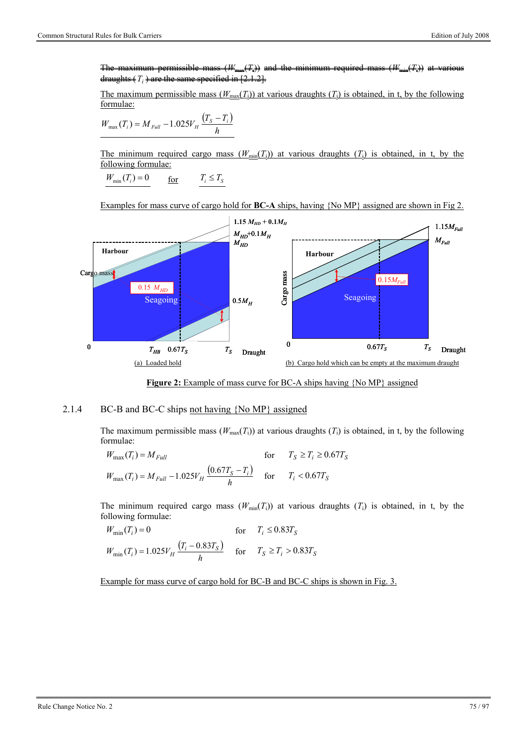The maximum permissible mass (*W*max(*T*i)) and the minimum required mass (*W*min(*T*i)) at various draughts  $(T_i)$  are the same specified in  $[2.1.2]$ .

The maximum permissible mass  $(W_{\text{max}}(T_i))$  at various draughts  $(T_i)$  is obtained, in t, by the following formulae:

$$
W_{\text{max}}(T_i) = M_{\text{Full}} - 1.025V_H \frac{(T_s - T_i)}{h}
$$

The minimum required cargo mass  $(W_{min}(T_i))$  at various draughts  $(T_i)$  is obtained, in t, by the following formulae:

$$
W_{\min}(T_i) = 0 \qquad \underline{\text{for}} \qquad T_i \le T_S
$$

Examples for mass curve of cargo hold for **BC-A** ships, having {No MP} assigned are shown in Fig 2.



**Figure 2:** Example of mass curve for BC-A ships having {No MP} assigned

#### 2.1.4 BC-B and BC-C ships not having {No MP} assigned

The maximum permissible mass  $(W_{\text{max}}(T_i))$  at various draughts  $(T_i)$  is obtained, in t, by the following formulae:

$$
W_{\text{max}}(T_i) = M_{Full} \qquad \text{for} \qquad T_S \ge T_i \ge 0.67T_S
$$
  

$$
W_{\text{max}}(T_i) = M_{Full} - 1.025V_H \frac{(0.67T_S - T_i)}{h} \qquad \text{for} \qquad T_i < 0.67T_S
$$

The minimum required cargo mass  $(W_{min}(T_i))$  at various draughts  $(T_i)$  is obtained, in t, by the following formulae:

$$
W_{\min}(T_i) = 0 \qquad \text{for} \qquad T_i \le 0.83T_S
$$
  

$$
W_{\min}(T_i) = 1.025V_H \frac{(T_i - 0.83T_S)}{h} \qquad \text{for} \qquad T_S \ge T_i > 0.83T_S
$$

Example for mass curve of cargo hold for BC-B and BC-C ships is shown in Fig. 3.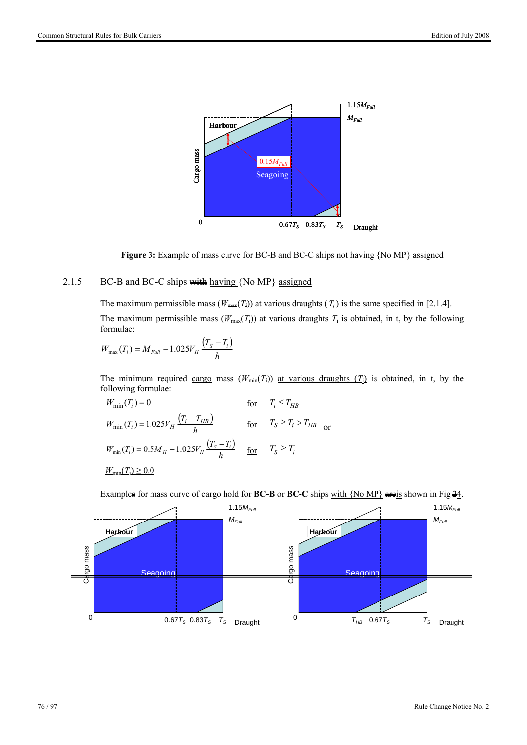

**Figure 3:** Example of mass curve for BC-B and BC-C ships not having {No MP} assigned

### 2.1.5 BC-B and BC-C ships with having  $\{No MP\}$  assigned

### The maximum permissible mass  $(W_{\text{max}}(T_i))$  at various draughts  $(T_i)$  is the same specified in [2.1.4]. The maximum permissible mass  $(W_{\text{max}}(T_i))$  at various draughts  $T_i$  is obtained, in t, by the following formulae:

$$
W_{\text{max}}(T_i) = M_{\text{Full}} - 1.025 V_{\text{H}} \frac{(T_s - T_i)}{h}
$$

The minimum required cargo mass  $(W_{min}(T_i))$  at various draughts  $(T_i)$  is obtained, in t, by the following formulae:

$$
W_{\min}(T_i) = 0 \qquad \text{for} \qquad T_i \le T_{HB}
$$
  
\n
$$
W_{\min}(T_i) = 1.025V_H \frac{(T_i - T_{HB})}{h} \qquad \text{for} \qquad T_S \ge T_i > T_{HB} \text{ or}
$$
  
\n
$$
W_{\min}(T_i) = 0.5M_H - 1.025V_H \frac{(T_S - T_i)}{h} \qquad \text{for} \qquad \frac{T_S \ge T_i}{S} \le T_i
$$
  
\n
$$
\frac{W_{\min}(T_i) \ge 0.0}{W_{\min}(T_i) \ge 0.0}
$$

Examples for mass curve of cargo hold for **BC-B** or **BC-C** ships with  $\{No MP\}$  are is shown in Fig  $\frac{24}{3}$ .

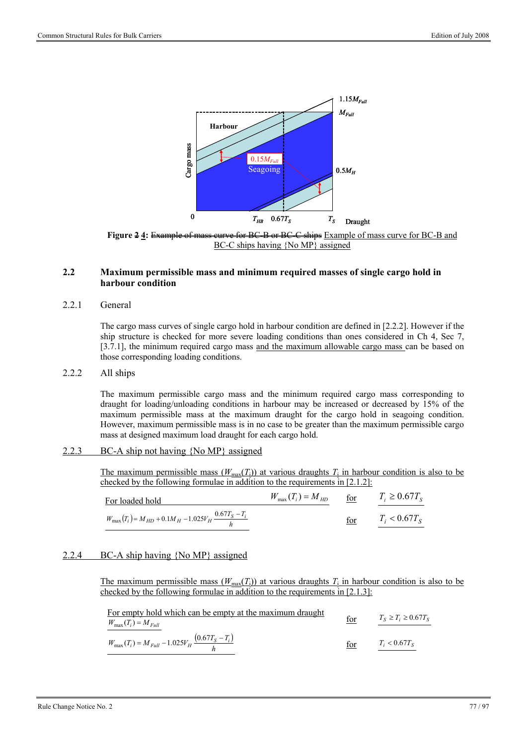

**Figure 2 4:** Example of mass curve for BC-B or BC-C ships Example of mass curve for BC-B and BC-C ships having {No MP} assigned

### **2.2 Maximum permissible mass and minimum required masses of single cargo hold in harbour condition**

### 2.2.1 General

The cargo mass curves of single cargo hold in harbour condition are defined in [2.2.2]. However if the ship structure is checked for more severe loading conditions than ones considered in Ch 4, Sec 7, [3.7.1], the minimum required cargo mass and the maximum allowable cargo mass can be based on those corresponding loading conditions.

### 2.2.2 All ships

The maximum permissible cargo mass and the minimum required cargo mass corresponding to draught for loading/unloading conditions in harbour may be increased or decreased by 15% of the maximum permissible mass at the maximum draught for the cargo hold in seagoing condition. However, maximum permissible mass is in no case to be greater than the maximum permissible cargo mass at designed maximum load draught for each cargo hold.

### 2.2.3 BC-A ship not having {No MP} assigned

The maximum permissible mass  $(W_{\text{max}}(T_i))$  at various draughts  $T_i$  in harbour condition is also to be checked by the following formulae in addition to the requirements in  $[2.1.2]$ :

| For loaded hold                                                            | $W_{\text{max}}(T_i) = M_{HD}$ for |     | $T_i \geq 0.67 T_s$ |
|----------------------------------------------------------------------------|------------------------------------|-----|---------------------|
| $W_{\text{max}}(T_i) = M_{HD} + 0.1M_H - 1.025V_H \frac{0.67T_S - T_i}{h}$ |                                    | for | $T_i < 0.67 T_s$    |

### 2.2.4 BC-A ship having {No MP} assigned

The maximum permissible mass  $(W_{\text{max}}(T_i))$  at various draughts  $T_i$  in harbour condition is also to be checked by the following formulae in addition to the requirements in [2.1.3]:

| For empty hold which can be empty at the maximum draught              |     | $T_S \geq T_i \geq 0.67 T_S$ |
|-----------------------------------------------------------------------|-----|------------------------------|
| $W_{\text{max}}(T_i) = M_{Full}$                                      | for |                              |
| $W_{\text{max}}(T_i) = M_{Full} - 1.025V_H \frac{(0.67T_S - T_i)}{h}$ | for | $T_i < 0.67 T_s$             |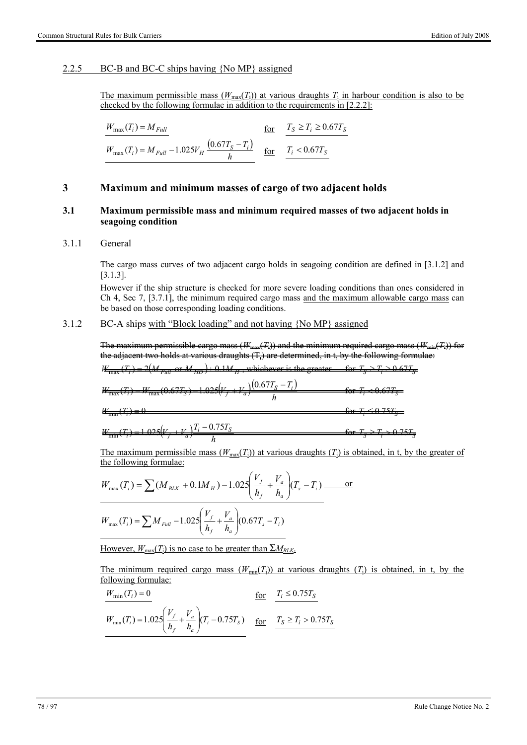### 2.2.5 BC-B and BC-C ships having {No MP} assigned

The maximum permissible mass  $(W_{\text{max}}(T_i))$  at various draughts  $T_i$  in harbour condition is also to be checked by the following formulae in addition to the requirements in [2.2.2]:

$$
W_{\text{max}}(T_i) = M_{Full}
$$
  

$$
W_{\text{max}}(T_i) = M_{Full} - 1.025V_H \frac{(0.67T_S - T_i)}{h}
$$
  

$$
\frac{f_{\text{or}}}{f_{\text{r}}} = \frac{T_S \ge T_i \ge 0.67T_S}{T_i < 0.67T_S}
$$

### **3 Maximum and minimum masses of cargo of two adjacent holds**

### **3.1 Maximum permissible mass and minimum required masses of two adjacent holds in seagoing condition**

#### 3.1.1 General

The cargo mass curves of two adjacent cargo holds in seagoing condition are defined in [3.1.2] and [3.1.3].

However if the ship structure is checked for more severe loading conditions than ones considered in Ch 4, Sec 7, [3.7.1], the minimum required cargo mass and the maximum allowable cargo mass can be based on those corresponding loading conditions.

3.1.2 BC-A ships with "Block loading" and not having {No MP} assigned

The maximum permissible cargo mass (*W*max(*T*i)) and the minimum required cargo mass (*W*min(*T*i)) for the adjacent two holds at various draughts  $(T)$  are determined, in t, by the following formulae:

$$
W_{\text{max}}(T_t) = 2(M_{\text{Full}} \text{ or } M_{\text{HD}}) + 0.1M_{\text{H}}
$$
, whichever is the greater for  $T_s \ge T_t \ge 0.67T_s$ .

$$
W_{\text{max}}(T_i) = W_{\text{max}}(0.67T_S) = 1.025\left(V_f + V_a\right)\frac{(0.67T_S - T_i)}{h} \quad \text{for } T_i \le 0.67T_S
$$

 $W_{\text{min}}(T_i) = 0$  for  $T_i \le 0.75T_5$ 

 $W_{\text{min}}(T_i) = 1.025\left(V_f + V_a\right)\frac{T_i - 0.75T_S}{h}$  $\frac{T_{\text{min}}(T_i)}{T_0} = 1.025\left(V_f + V_a\right)\frac{T_i - 0.75T_S}{L}$  for  $T_S \ge T_i > 0.75T_S$ 

The maximum permissible mass  $(W_{\text{max}}(T_i))$  at various draughts  $(T_i)$  is obtained, in t, by the greater of the following formulae:

$$
W_{\text{max}}(T_i) = \sum (M_{BLK} + 0.1M_H) - 1.025 \left( \frac{V_f}{h_f} + \frac{V_a}{h_a} \right) (T_s - T_i) \underline{\hspace{2cm} \text{or} \text{}} \\ W_{\text{max}}(T_i) = \sum M_{Full} - 1.025 \left( \frac{V_f}{h_f} + \frac{V_a}{h_a} \right) (0.67T_s - T_i)
$$

However,  $W_{\text{max}}(\underline{T_i})$  is no case to be greater than  $\sum M_{BLK}$ .

The minimum required cargo mass  $(W_{min}(T_i))$  at various draughts  $(T_i)$  is obtained, in t, by the following formulae:

$$
\frac{W_{\min}(T_i) = 0}{W_{\min}(T_i) = 1.025 \left(\frac{V_f}{h_f} + \frac{V_a}{h_a}\right) (T_i - 0.75T_s)} \n\underline{\text{for}} \n\underline{T_s \ge T_i > 0.75T_s}
$$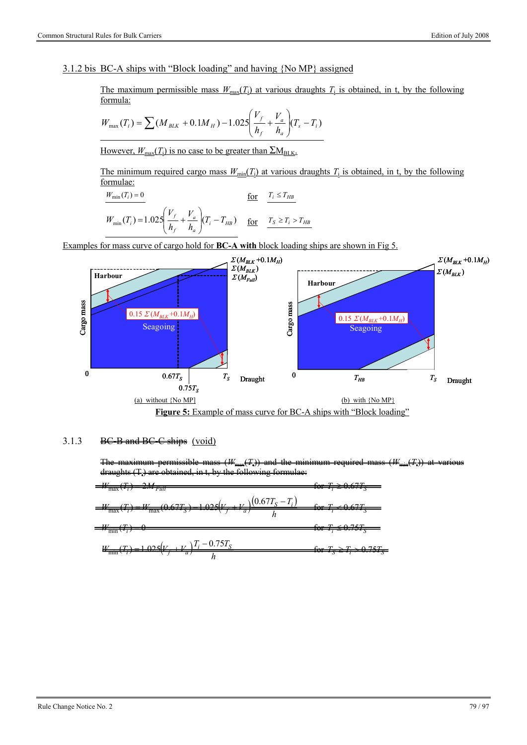### 3.1.2 bis BC-A ships with "Block loading" and having {No MP} assigned

The maximum permissible mass  $W_{\text{max}}(T_i)$  at various draughts  $T_i$  is obtained, in t, by the following formula:

$$
W_{\text{max}}(T_i) = \sum (M_{BLK} + 0.1M_H) - 1.025 \left(\frac{V_f}{h_f} + \frac{V_a}{h_a}\right) (T_s - T_i)
$$

However,  $W_{\text{max}}(T_i)$  is no case to be greater than  $\sum M_{\text{BLK}}$ .

The minimum required cargo mass  $W_{min}(T_i)$  at various draughts  $T_i$  is obtained, in t, by the following formulae:

$$
\frac{W_{\min}(T_i) = 0}{W_{\min}(T_i) = 1.025 \left(\frac{V_f}{h_f} + \frac{V_a}{h_a}\right) (T_i - T_{HB})}
$$
 for  $\frac{T_i \le T_{HB}}{S_i \ge T_i > T_{HB}}$ 

Examples for mass curve of cargo hold for **BC-A with** block loading ships are shown in Fig 5.



### 3.1.3 BC-B and BC-C ships (void)

The maximum permissible mass  $(W_{\text{max}}(T))$  and the minimum required mass  $(W_{\text{min}}(T))$  at various  $drauehts$  (T) are obtained, in t, by the following formulae:

$$
=W_{\text{max}}(T_t) - 2M_{\text{Full}} \qquad \text{for } T_t \ge 0.67T_s
$$
  
\n
$$
=W_{\text{max}}(T_t) = W_{\text{max}}(0.67T_s) - 1.025\left(V_f + V_a\right)\frac{(0.67T_s - T_t)}{h} \qquad \text{for } T_t \le 0.67T_s
$$
  
\n
$$
=W_{\text{min}}(T_t) - 0 \qquad \text{for } T_t \le 0.75T_s
$$
  
\n
$$
W_{\text{min}}(T_t) = 1.025\left(V_f + V_a\right)\frac{T_t - 0.75T_s}{h} \qquad \text{for } T_s \ge T_t > 0.75T_s
$$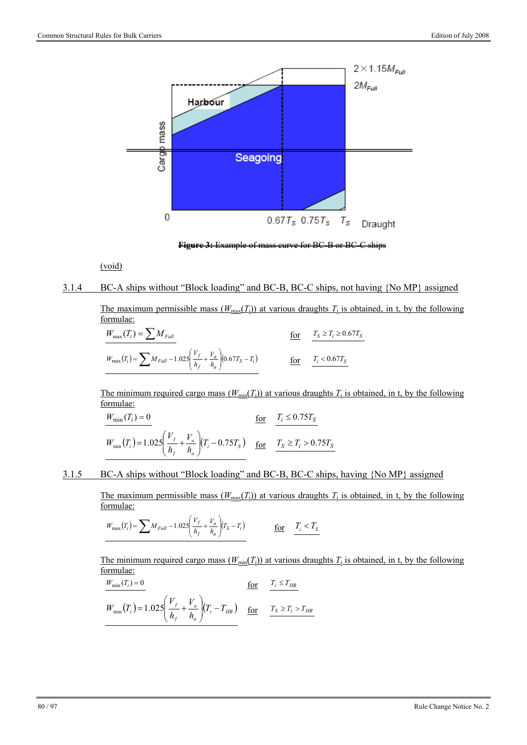

**Figure 3:** Example of mass curve for BC-B or BC-C ships

(void)

### 3.1.4 BC-A ships without "Block loading" and BC-B, BC-C ships, not having {No MP} assigned

The maximum permissible mass  $(W_{\text{max}}(T_i))$  at various draughts  $T_i$  is obtained, in t, by the following formulae:

$$
\frac{W_{\text{max}}(T_i) = \sum M_{Full}}{W_{\text{max}}(T_i) = \sum M_{Full} - 1.025 \left(\frac{V_f}{h_f} + \frac{V_a}{h_a}\right) (0.67T_S - T_i)} \n\qquad\n\frac{\text{for}}{\text{for}} \frac{T_s \ge T_i \ge 0.67T_S}{T_i < 0.67T_S}
$$

The minimum required cargo mass  $(W_{min}(T_i))$  at various draughts  $T_i$  is obtained, in t, by the following formulae:

$$
\frac{W_{\min}(T_i) = 0}{W_{\min}(T_i) = 1.025 \left(\frac{V_f}{h_f} + \frac{V_a}{h_a}\right) (T_i - 0.75T_S) \frac{\text{for}}{\text{for}} \frac{T_i \le 0.75T_S}{T_S \ge T_i > 0.75T_S}
$$

3.1.5 BC-A ships without "Block loading" and BC-B, BC-C ships, having {No MP} assigned

The maximum permissible mass  $(W_{\text{max}}(T_i))$  at various draughts  $T_i$  is obtained, in t, by the following formulae:

$$
W_{\text{max}}(T_i) = \sum M_{Full} - 1.025 \left( \frac{V_f}{h_f} + \frac{V_a}{h_a} \right) (T_S - T_i)
$$
 
$$
\underline{\text{for}} \quad \underline{T_i < T_S}
$$

The minimum required cargo mass ( $W_{min}(T_i)$ ) at various draughts  $T_i$  is obtained, in t, by the following formulae:

$$
\frac{W_{\min}(T_i) = 0}{W_{\min}(T_i) = 1.025 \left(\frac{V_f}{h_f} + \frac{V_a}{h_a}\right) (T_i - T_{HB})} \underbrace{\text{for}}_{\text{for}} \frac{T_i \le T_{HB}}{T_s \ge T_i > T_{HB}}
$$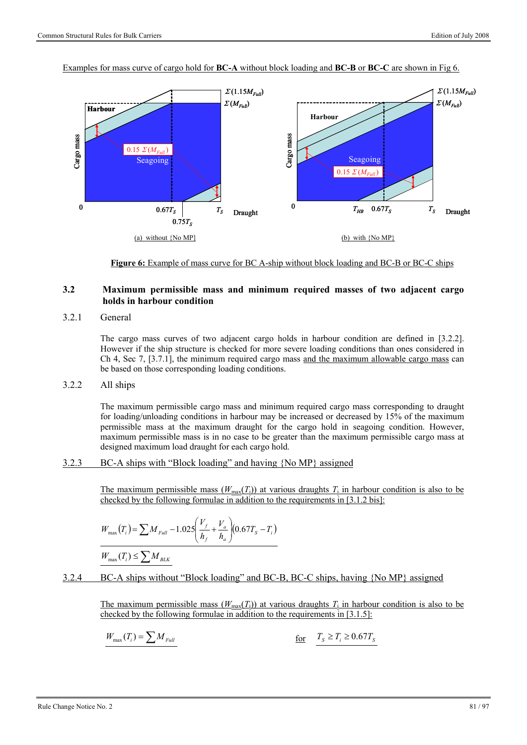

Examples for mass curve of cargo hold for **BC-A** without block loading and **BC-B** or **BC-C** are shown in Fig 6.

**Figure 6:** Example of mass curve for BC A-ship without block loading and BC-B or BC-C ships

### **3.2 Maximum permissible mass and minimum required masses of two adjacent cargo holds in harbour condition**

3.2.1 General

The cargo mass curves of two adjacent cargo holds in harbour condition are defined in [3.2.2]. However if the ship structure is checked for more severe loading conditions than ones considered in Ch 4, Sec 7, [3.7.1], the minimum required cargo mass and the maximum allowable cargo mass can be based on those corresponding loading conditions.

3.2.2 All ships

The maximum permissible cargo mass and minimum required cargo mass corresponding to draught for loading/unloading conditions in harbour may be increased or decreased by 15% of the maximum permissible mass at the maximum draught for the cargo hold in seagoing condition. However, maximum permissible mass is in no case to be greater than the maximum permissible cargo mass at designed maximum load draught for each cargo hold.

3.2.3 BC-A ships with "Block loading" and having {No MP} assigned

The maximum permissible mass  $(W_{\text{max}}(T_i))$  at various draughts  $T_i$  in harbour condition is also to be checked by the following formulae in addition to the requirements in [3.1.2 bis]:

$$
W_{\text{max}}(T_i) = \sum M_{\text{Full}} - 1.025 \left( \frac{V_f}{h_f} + \frac{V_a}{h_a} \right) (0.67 T_s - T_i)
$$

$$
W_{\max}(T_i) \leq \sum M_{BLK}
$$

3.2.4 BC-A ships without "Block loading" and BC-B, BC-C ships, having {No MP} assigned

The maximum permissible mass  $(W_{\text{max}}(T_i))$  at various draughts  $T_i$  in harbour condition is also to be checked by the following formulae in addition to the requirements in  $[3.1.5]$ :

$$
W_{\text{max}}(T_i) = \sum M_{Full}
$$
\nfor  $T_s \ge T_i \ge 0.67T_s$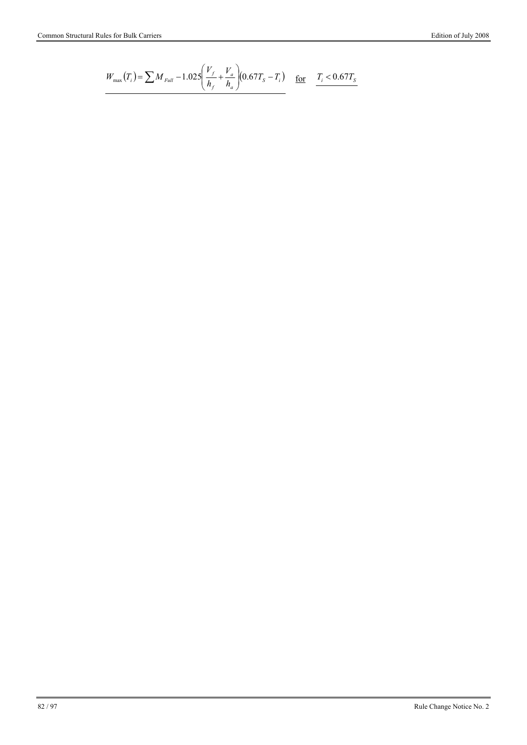$$
W_{\text{max}}(T_i) = \sum M_{\text{Full}} - 1.025 \left( \frac{V_f}{h_f} + \frac{V_a}{h_a} \right) (0.67 T_s - T_i) \underbrace{\text{for}} \underbrace{T_i < 0.67 T_s}
$$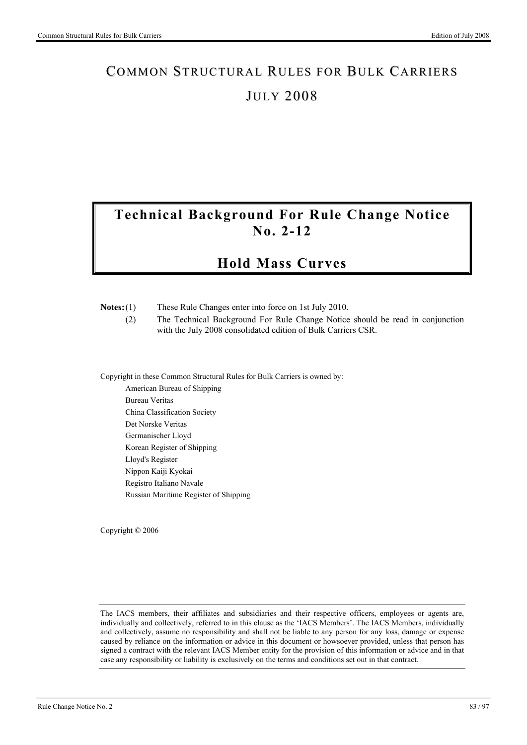# COMMON STRUCTURAL RULES FOR BULK CARRIERS **JULY 2008**

# **Technical Background For Rule Change Notice No. 2-12**

# **Hold Mass Curves**

| $Notes:(1)$ | These Rule Changes enter into force on 1st July 2010. |  |
|-------------|-------------------------------------------------------|--|

 (2) The Technical Background For Rule Change Notice should be read in conjunction with the July 2008 consolidated edition of Bulk Carriers CSR.

Copyright in these Common Structural Rules for Bulk Carriers is owned by:

American Bureau of Shipping Bureau Veritas China Classification Society Det Norske Veritas Germanischer Lloyd Korean Register of Shipping Lloyd's Register Nippon Kaiji Kyokai Registro Italiano Navale Russian Maritime Register of Shipping

Copyright © 2006

The IACS members, their affiliates and subsidiaries and their respective officers, employees or agents are, individually and collectively, referred to in this clause as the 'IACS Members'. The IACS Members, individually and collectively, assume no responsibility and shall not be liable to any person for any loss, damage or expense caused by reliance on the information or advice in this document or howsoever provided, unless that person has signed a contract with the relevant IACS Member entity for the provision of this information or advice and in that case any responsibility or liability is exclusively on the terms and conditions set out in that contract.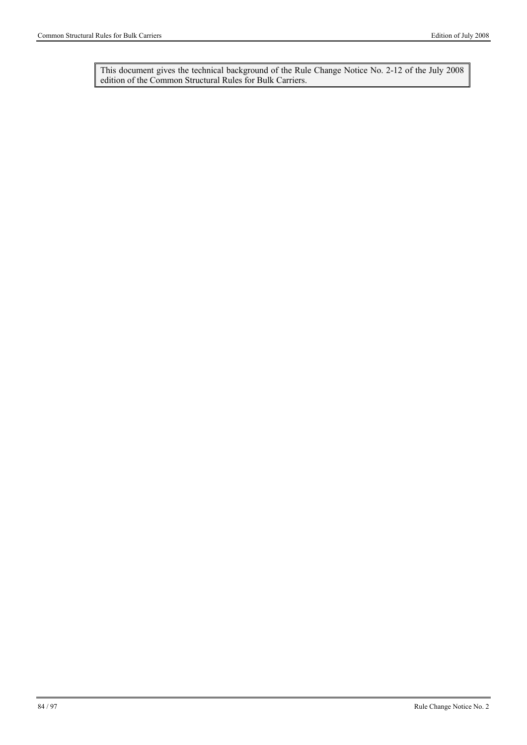This document gives the technical background of the Rule Change Notice No. 2-12 of the July 2008 edition of the Common Structural Rules for Bulk Carriers.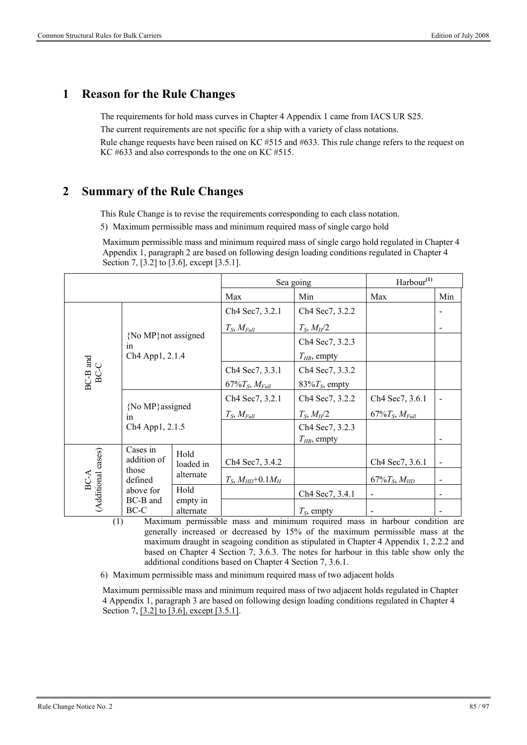## **1 Reason for the Rule Changes**

The requirements for hold mass curves in Chapter 4 Appendix 1 came from IACS UR S25.

The current requirements are not specific for a ship with a variety of class notations.

Rule change requests have been raised on KC #515 and #633. This rule change refers to the request on KC #633 and also corresponds to the one on KC #515.

## **2 Summary of the Rule Changes**

This Rule Change is to revise the requirements corresponding to each class notation.

5) Maximum permissible mass and minimum required mass of single cargo hold

Maximum permissible mass and minimum required mass of single cargo hold regulated in Chapter 4 Appendix 1, paragraph 2 are based on following design loading conditions regulated in Chapter 4 Section 7, [3.2] to [3.6], except [3.5.1].

|                    |                             | Sea going             |                         | Harbour <sup>(1)</sup>              |                        |     |
|--------------------|-----------------------------|-----------------------|-------------------------|-------------------------------------|------------------------|-----|
|                    |                             |                       | Max                     | Min                                 | Max                    | Min |
|                    |                             |                       | Ch4 Sec7, 3.2.1         | Ch4 Sec7, 3.2.2                     |                        |     |
|                    |                             |                       | $T_S, M_{Full}$         | $T_S, M_H/2$                        |                        |     |
|                    | {No MP} not assigned<br>in  |                       |                         | Ch4 Sec7, 3.2.3                     |                        |     |
|                    | Ch <sub>4</sub> App1, 2.1.4 |                       |                         | $T_{HB}$ , empty                    |                        |     |
| $BC-B$ and $BC-C$  |                             |                       | Ch4 Sec7, 3.3.1         | Ch4 Sec7, 3.3.2                     |                        |     |
|                    |                             |                       | $67\%T_S$ , $M_{Full}$  | 83% $T_s$ , empty                   |                        |     |
|                    |                             |                       | Ch4 Sec7, 3.2.1         | Ch4 Sec7, 3.2.2                     | Ch4 Sec7, 3.6.1        |     |
|                    | {No MP} assigned<br>1n      |                       | $T_S, M_{Full}$         | $T_S, M_H/2$                        | $67\%T_S$ , $M_{Full}$ |     |
|                    | Ch <sub>4</sub> App1, 2.1.5 |                       |                         | Ch4 Sec7, 3.2.3<br>$T_{HB}$ , empty |                        |     |
| (Additional cases) | Cases in<br>addition of     | Hold<br>loaded in     | Ch4 Sec7, 3.4.2         |                                     | Ch4 Sec7, 3.6.1        |     |
| BC-A               | those<br>defined            | alternate             | $T_S, M_{HD} + 0.1 M_H$ |                                     | $67\%T_S, M_{HD}$      |     |
|                    | above for                   | Hold                  |                         | Ch4 Sec7, 3.4.1                     |                        |     |
|                    | BC-B and<br>BC-C            | empty in<br>alternate |                         | $T_s$ , empty                       |                        |     |

(1) Maximum permissible mass and minimum required mass in harbour condition are generally increased or decreased by 15% of the maximum permissible mass at the maximum draught in seagoing condition as stipulated in Chapter 4 Appendix 1, 2.2.2 and based on Chapter 4 Section 7, 3.6.3. The notes for harbour in this table show only the additional conditions based on Chapter 4 Section 7, 3.6.1.

6) Maximum permissible mass and minimum required mass of two adjacent holds

Maximum permissible mass and minimum required mass of two adjacent holds regulated in Chapter 4 Appendix 1, paragraph 3 are based on following design loading conditions regulated in Chapter 4 Section 7, [3.2] to [3.6], except [3.5.1].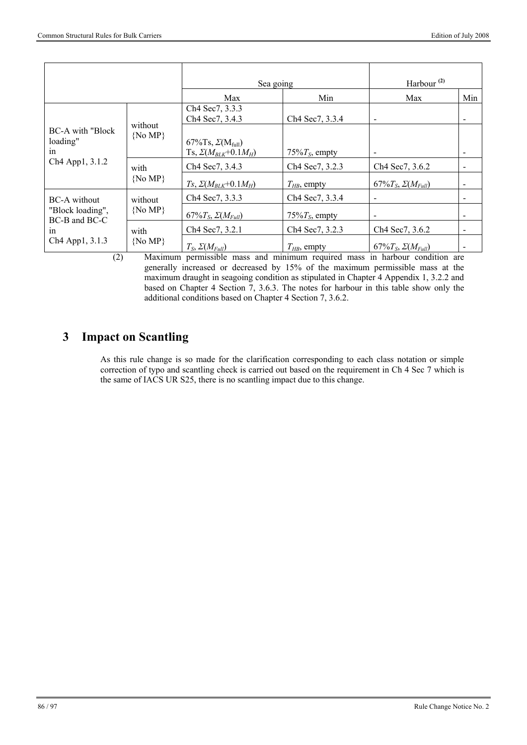|                                            |                        | Sea going                                                        |                                          | Harbour $^{(2)}$                         |     |
|--------------------------------------------|------------------------|------------------------------------------------------------------|------------------------------------------|------------------------------------------|-----|
|                                            |                        | Max                                                              | Min                                      | Max                                      | Min |
|                                            |                        | Ch4 Sec7, 3.3.3<br>Ch4 Sec7, 3.4.3                               | Ch4 Sec7, 3.3.4                          | $\blacksquare$                           |     |
| <b>BC-A</b> with "Block"<br>loading"<br>in | without<br>$\{No MP\}$ | 67%Ts, $\Sigma(M_{\text{full}})$<br>Ts, $\Sigma(M_{BLK}+0.1M_H)$ | 75% $T_s$ , empty                        | $\overline{\phantom{a}}$                 |     |
| Ch <sub>4</sub> App1, 3.1.2                | with                   | Ch <sub>4</sub> Sec <sub>7</sub> , 3.4.3                         | Ch4 Sec7, 3.2.3                          | Ch <sub>4</sub> Sec <sub>7</sub> , 3.6.2 |     |
|                                            | $\{No MP\}$            | $Ts, \Sigma(M_{BLK}+0.1M_H)$                                     | $T_{HB}$ , empty                         | 67% $T_S$ , $\Sigma(M_{Full})$           |     |
| <b>BC-A</b> without                        | without                | Ch <sub>4</sub> Sec <sub>7</sub> , 3.3.3                         | Ch <sub>4</sub> Sec <sub>7</sub> , 3.3.4 | $\overline{\phantom{a}}$                 |     |
| "Block loading",<br>BC-B and BC-C          | $\{No MP\}$            | 67% $T_S$ , $\Sigma(M_{Full})$                                   | 75% $T_s$ , empty                        | $\blacksquare$                           |     |
| 1n                                         | with                   | Ch <sub>4</sub> Sec <sub>7</sub> , 3.2.1                         | Ch4 Sec7, 3.2.3                          | Ch <sub>4</sub> Sec <sub>7</sub> , 3.6.2 |     |
| Ch <sub>4</sub> App1, 3.1.3                | $\{No MP\}$            | $T_S$ , $\Sigma(M_{Full})$                                       | $T_{HB}$ , empty                         | 67% $T_S$ , $\Sigma(M_{Full})$           |     |

(2) Maximum permissible mass and minimum required mass in harbour condition are generally increased or decreased by 15% of the maximum permissible mass at the maximum draught in seagoing condition as stipulated in Chapter 4 Appendix 1, 3.2.2 and based on Chapter 4 Section 7, 3.6.3. The notes for harbour in this table show only the additional conditions based on Chapter 4 Section 7, 3.6.2.

# **3 Impact on Scantling**

As this rule change is so made for the clarification corresponding to each class notation or simple correction of typo and scantling check is carried out based on the requirement in Ch 4 Sec 7 which is the same of IACS UR S25, there is no scantling impact due to this change.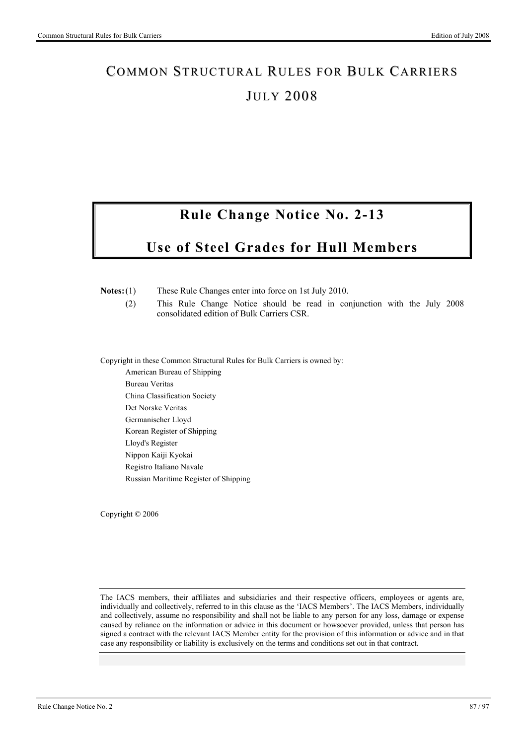# COMMON STRUCTURAL RULES FOR BULK CARRIERS **JULY 2008**

# **Rule Change Notice No. 2-13**

# **Use of Steel Grades for Hull Members**

**Notes:** (1) These Rule Changes enter into force on 1st July 2010.

 (2) This Rule Change Notice should be read in conjunction with the July 2008 consolidated edition of Bulk Carriers CSR.

Copyright in these Common Structural Rules for Bulk Carriers is owned by:

American Bureau of Shipping Bureau Veritas China Classification Society Det Norske Veritas Germanischer Lloyd Korean Register of Shipping Lloyd's Register Nippon Kaiji Kyokai Registro Italiano Navale Russian Maritime Register of Shipping

Copyright © 2006

The IACS members, their affiliates and subsidiaries and their respective officers, employees or agents are, individually and collectively, referred to in this clause as the 'IACS Members'. The IACS Members, individually and collectively, assume no responsibility and shall not be liable to any person for any loss, damage or expense caused by reliance on the information or advice in this document or howsoever provided, unless that person has signed a contract with the relevant IACS Member entity for the provision of this information or advice and in that case any responsibility or liability is exclusively on the terms and conditions set out in that contract.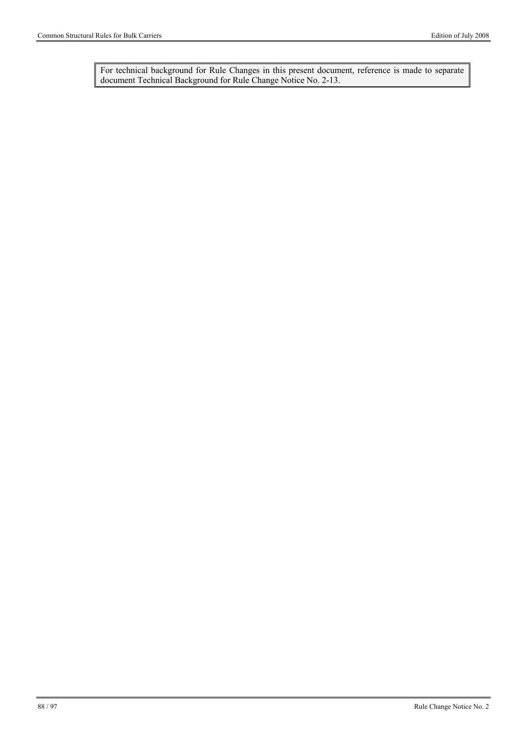For technical background for Rule Changes in this present document, reference is made to separate document Technical Background for Rule Change Notice No. 2-13.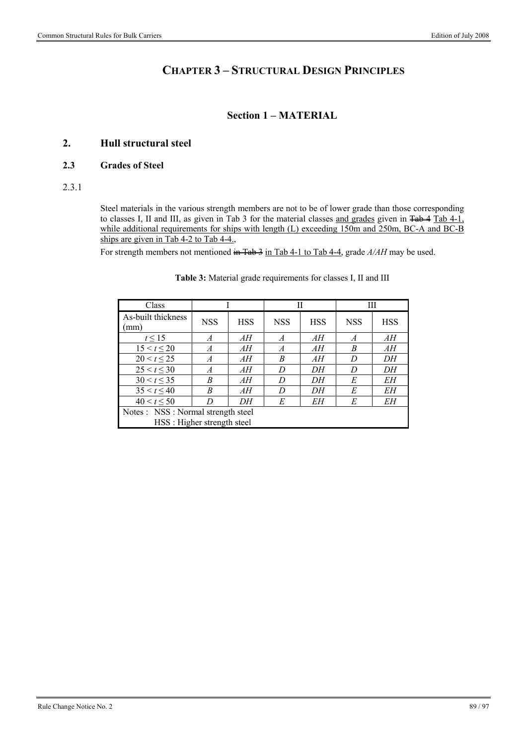# **CHAPTER 3 – STRUCTURAL DESIGN PRINCIPLES**

### **Section 1 – MATERIAL**

### **2. Hull structural steel**

### **2.3 Grades of Steel**

### 2.3.1

Steel materials in the various strength members are not to be of lower grade than those corresponding to classes I, II and III, as given in Tab 3 for the material classes and grades given in Tab 4 Tab 4-1, while additional requirements for ships with length (L) exceeding 150m and 250m, BC-A and BC-B ships are given in Tab 4-2 to Tab 4-4.,

For strength members not mentioned in Tab 3 in Tab 4-1 to Tab 4-4, grade  $A/AH$  may be used.

| Class                                             |            |            |                | Н          |                | Ш          |  |
|---------------------------------------------------|------------|------------|----------------|------------|----------------|------------|--|
| As-built thickness<br>mm)                         | <b>NSS</b> | <b>HSS</b> | <b>NSS</b>     | <b>HSS</b> | <b>NSS</b>     | <b>HSS</b> |  |
| $t \leq 15$                                       | A          | AН         | $\overline{A}$ | AН         | $\overline{A}$ | AH         |  |
| $15 < t \le 20$                                   | A          | AН         | $\overline{A}$ | AН         | B              | AH         |  |
| $20 < t \le 25$                                   | A          | AН         | B              | AН         | D              | DH         |  |
| $25 < t \leq 30$                                  | A          | AН         | D              | DΗ         | D              | DH         |  |
| $30 < t \leq 35$                                  | B          | AН         | D              | DΗ         | E              | EН         |  |
| $35 < t \leq 40$                                  | B          | AН         | D              | DΗ         | E              | EН         |  |
| $40 < t \leq 50$<br>E<br>EΗ<br>E<br>EН<br>DΗ<br>D |            |            |                |            |                |            |  |
| Notes : NSS : Normal strength steel               |            |            |                |            |                |            |  |
| HSS: Higher strength steel                        |            |            |                |            |                |            |  |

#### **Table 3:** Material grade requirements for classes I, II and III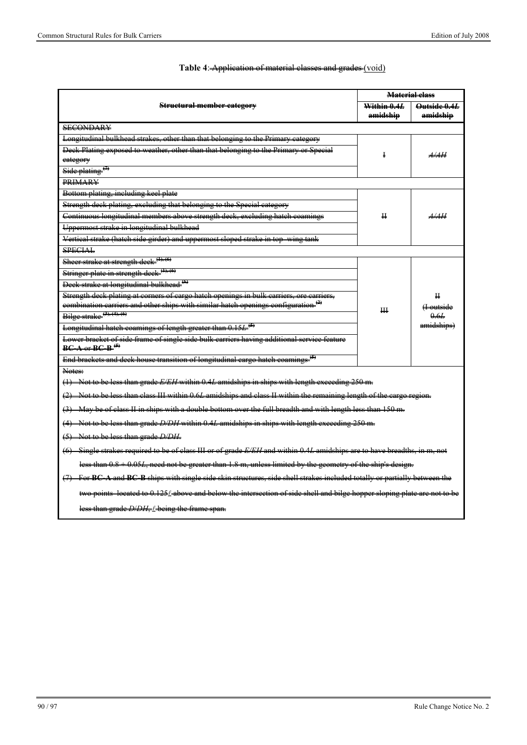|                                                                                                                   | <b>Material class</b> |                      |  |  |  |  |
|-------------------------------------------------------------------------------------------------------------------|-----------------------|----------------------|--|--|--|--|
| <b>Structural member category</b>                                                                                 | Within 0.4L           | Outside 0.4L         |  |  |  |  |
|                                                                                                                   | amidship              | amidship             |  |  |  |  |
| <b>SECONDARY</b>                                                                                                  |                       |                      |  |  |  |  |
| Longitudinal bulkhead strakes, other than that belonging to the Primary eategory                                  |                       |                      |  |  |  |  |
| Deek Plating exposed to weather, other than that belonging to the Primary or Special                              |                       | A/4H                 |  |  |  |  |
| eategory                                                                                                          |                       |                      |  |  |  |  |
| Side plating <sup>(7)</sup>                                                                                       |                       |                      |  |  |  |  |
| <b>PRIMARY</b>                                                                                                    |                       |                      |  |  |  |  |
| Bottom plating, including keel plate                                                                              |                       |                      |  |  |  |  |
| Strength deek plating, excluding that belonging to the Special category                                           |                       |                      |  |  |  |  |
| Continuous longitudinal members above strength deek, excluding hatch coamings                                     | ₩.                    | <del>.4/.4H</del>    |  |  |  |  |
| Uppermost strake in longitudinal bulkhead                                                                         |                       |                      |  |  |  |  |
| Vertieal strake (hateh side girder) and uppermost sloped strake in top<br>$\frac{1}{\text{wing}}$                 |                       |                      |  |  |  |  |
| <b>SPECIAL</b>                                                                                                    |                       |                      |  |  |  |  |
| Sheer strake at strength deek. <sup>(1), (6)</sup>                                                                |                       |                      |  |  |  |  |
| Stringer plate in strength deck. <sup>(1), (6)</sup>                                                              |                       |                      |  |  |  |  |
| Deek strake at longitudinal bulkhead <sup>(6)</sup>                                                               |                       |                      |  |  |  |  |
| Strength deek plating at corners of eargo hatch openings in bulk carriers, ore carriers,                          |                       | $\mathbf H$          |  |  |  |  |
| combination carriers and other ships with similar hatch openings configuration <sup>(2)</sup>                     | Щ                     | <del>(I outsid</del> |  |  |  |  |
| Bilge strake $(3)$ , $(4)$ , $(6)$                                                                                |                       | 0.6L                 |  |  |  |  |
| amidships)<br>Longitudinal hatch coamings of length greater than 0.15L <sup>(5)</sup>                             |                       |                      |  |  |  |  |
| Lower bracket of side frame of single side bulk carriers having additional service feature                        |                       |                      |  |  |  |  |
| $BC A$ or $BC B$ <sup>(5)</sup>                                                                                   |                       |                      |  |  |  |  |
| End brackets and deck house transition of longitudinal cargo hatch coamings                                       |                       |                      |  |  |  |  |
| Notes:                                                                                                            |                       |                      |  |  |  |  |
| (1) Not to be less than grade E/EH within 0.4L amidships in ships with length exceeding 250 m.                    |                       |                      |  |  |  |  |
| Not to be less than class III within 0.6L amidships and class II within the remaining length of the cargo region. |                       |                      |  |  |  |  |

### **Table 4**: Application of material classes and grades (void)

ith a double bottom over the full breadth and with length  $\overline{\phantom{a}}$ 

than grade *D/DH* within 0.4*L* amidships in ships with length exceeding 250 m.

(5) Not to be less than grade *D/DH*.

(6) Single strakes required to be of class III or of grade *E/EH* and within 0.4*L* amidships are to have breadths, in m, not

less than 0.8 + 0.05*L*, need not be greater than 1.8 m, unless limited by the geometry of the ship's design.

(7) For BC-A and BC-B ships with single side skin structures, side shell strakes included

 $t$  0.125 $\ell$  above and below the intersection of side

than grade *D/DH*, *I* being the frame span.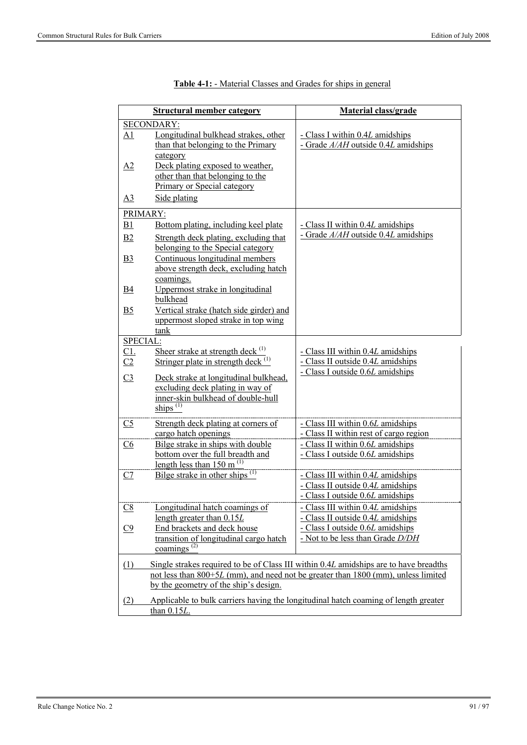|                          | <b>Structural member category</b>                                                                                              | Material class/grade                                                                                       |
|--------------------------|--------------------------------------------------------------------------------------------------------------------------------|------------------------------------------------------------------------------------------------------------|
|                          | <b>SECONDARY:</b>                                                                                                              |                                                                                                            |
| <u>A1</u>                | Longitudinal bulkhead strakes, other<br>than that belonging to the Primary<br>category                                         | - Class I within 0.4L amidships<br>- Grade $A/AH$ outside 0.4L amidships                                   |
| A2                       | Deck plating exposed to weather,<br>other than that belonging to the<br>Primary or Special category                            |                                                                                                            |
| $\overline{A3}$          | Side plating                                                                                                                   |                                                                                                            |
| PRIMARY:                 |                                                                                                                                |                                                                                                            |
| B1                       | Bottom plating, including keel plate                                                                                           | - Class II within 0.4L amidships                                                                           |
| B <sub>2</sub>           | Strength deck plating, excluding that<br>belonging to the Special category                                                     | - Grade $A/AH$ outside 0.4L amidships                                                                      |
| B <sub>3</sub>           | Continuous longitudinal members<br>above strength deck, excluding hatch<br>coamings.                                           |                                                                                                            |
| <u>B4</u>                | Uppermost strake in longitudinal<br>bulkhead                                                                                   |                                                                                                            |
| <u>B5</u>                | Vertical strake (hatch side girder) and<br>uppermost sloped strake in top wing                                                 |                                                                                                            |
|                          | tank                                                                                                                           |                                                                                                            |
| SPECIAL:                 | Sheer strake at strength deck $(1)$                                                                                            | - Class III within 0.4L amidships                                                                          |
| $C1$ .<br>C <sub>2</sub> | Stringer plate in strength deck $(1)$                                                                                          | - Class II outside 0.4L amidships                                                                          |
| C <sub>3</sub>           | Deck strake at longitudinal bulkhead,<br>excluding deck plating in way of<br>inner-skin bulkhead of double-hull<br>ships $(1)$ | - Class I outside 0.6L amidships                                                                           |
| C <sub>5</sub>           | Strength deck plating at corners of                                                                                            | - Class III within 0.6L amidships                                                                          |
|                          | cargo hatch openings                                                                                                           | - Class II within rest of cargo region                                                                     |
| $\underline{C6}$         | Bilge strake in ships with double<br>bottom over the full breadth and<br>length less than $150 \text{ m}^{(1)}$                | - Class II within 0.6L amidships<br>- Class I outside 0.6L amidships                                       |
| <u>C7</u>                | Bilge strake in other ships $^{(1)}$                                                                                           | - Class III within 0.4L amidships<br>- Class II outside 0.4L amidships<br>- Class I outside 0.6L amidships |
| $\underline{\text{C8}}$  | Longitudinal hatch coamings of<br>length greater than $0.15L$                                                                  | - Class III within 0.4L amidships<br>- Class II outside 0.4L amidships                                     |
| C9                       | End brackets and deck house<br>transition of longitudinal cargo hatch<br>coamings $^{(2)}$                                     | Class I outside 0.6L amidships<br>- Not to be less than Grade D/DH                                         |
| (1)                      |                                                                                                                                | Single strakes required to be of Class III within 0.4L amidships are to have breadths                      |
|                          | by the geometry of the ship's design.                                                                                          | not less than 800+5L (mm), and need not be greater than 1800 (mm), unless limited                          |
| (2)                      | than 0.15L.                                                                                                                    | Applicable to bulk carriers having the longitudinal hatch coaming of length greater                        |

| <b>Table 4-1:</b> - Material Classes and Grades for ships in general |  |  |  |
|----------------------------------------------------------------------|--|--|--|
|                                                                      |  |  |  |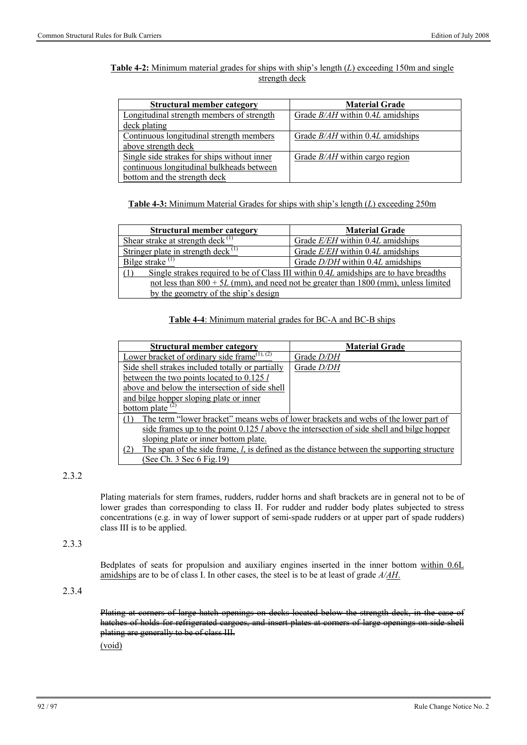### **Table 4-2:** Minimum material grades for ships with ship's length (*L*) exceeding 150m and single strength deck

| <b>Structural member category</b>           | <b>Material Grade</b>              |
|---------------------------------------------|------------------------------------|
| Longitudinal strength members of strength   | Grade $B/AH$ within 0.4L amidships |
| deck plating                                |                                    |
| Continuous longitudinal strength members    | Grade $B/AH$ within 0.4L amidships |
| above strength deck                         |                                    |
| Single side strakes for ships without inner | Grade $B/AH$ within cargo region   |
| continuous longitudinal bulkheads between   |                                    |
| bottom and the strength deck                |                                    |

**Table 4-3:** Minimum Material Grades for ships with ship's length (*L*) exceeding 250m

| <b>Structural member category</b>                                                     | <b>Material Grade</b>              |  |  |  |
|---------------------------------------------------------------------------------------|------------------------------------|--|--|--|
| Shear strake at strength deck $^{(1)}$                                                | Grade $E/EH$ within 0.4L amidships |  |  |  |
| Stringer plate in strength deck $^{(1)}$                                              | Grade E/EH within 0.4L amidships   |  |  |  |
| Bilge strake $(1)$                                                                    | Grade D/DH within 0.4L amidships   |  |  |  |
| Single strakes required to be of Class III within 0.4L amidships are to have breadths |                                    |  |  |  |
| not less than $800 + 5L$ (mm), and need not be greater than 1800 (mm), unless limited |                                    |  |  |  |
| by the geometry of the ship's design                                                  |                                    |  |  |  |

#### **Table 4-4**: Minimum material grades for BC-A and BC-B ships

| <b>Structural member category</b>                                                                  | <b>Material Grade</b>                                                                         |
|----------------------------------------------------------------------------------------------------|-----------------------------------------------------------------------------------------------|
| Lower bracket of ordinary side frame $(1)$ , $(2)$                                                 | Grade <i>D/DH</i>                                                                             |
| Side shell strakes included totally or partially                                                   | Grade <i>D/DH</i>                                                                             |
| between the two points located to 0.125 l                                                          |                                                                                               |
| above and below the intersection of side shell                                                     |                                                                                               |
| and bilge hopper sloping plate or inner                                                            |                                                                                               |
| bottom plate <sup><math>(2)</math></sup>                                                           |                                                                                               |
| The term "lower bracket" means webs of lower brackets and webs of the lower part of                |                                                                                               |
| side frames up to the point $0.125$ <i>l</i> above the intersection of side shell and bilge hopper |                                                                                               |
| sloping plate or inner bottom plate.                                                               |                                                                                               |
|                                                                                                    | The span of the side frame, $l$ , is defined as the distance between the supporting structure |
| (See Ch. 3 Sec 6 Fig. 19)                                                                          |                                                                                               |

### 2.3.2

Plating materials for stern frames, rudders, rudder horns and shaft brackets are in general not to be of lower grades than corresponding to class II. For rudder and rudder body plates subjected to stress concentrations (e.g. in way of lower support of semi-spade rudders or at upper part of spade rudders) class III is to be applied.

### 2.3.3

Bedplates of seats for propulsion and auxiliary engines inserted in the inner bottom within 0.6L amidships are to be of class I. In other cases, the steel is to be at least of grade *A/AH*.

### 2.3.4

Plating at corners of large hatch openings on decks located below the strength deck, in the case of hatches of holds for refrigerated cargoes, and insert plates at corners of large openings on side shell plating are generally to be of class III.

(void)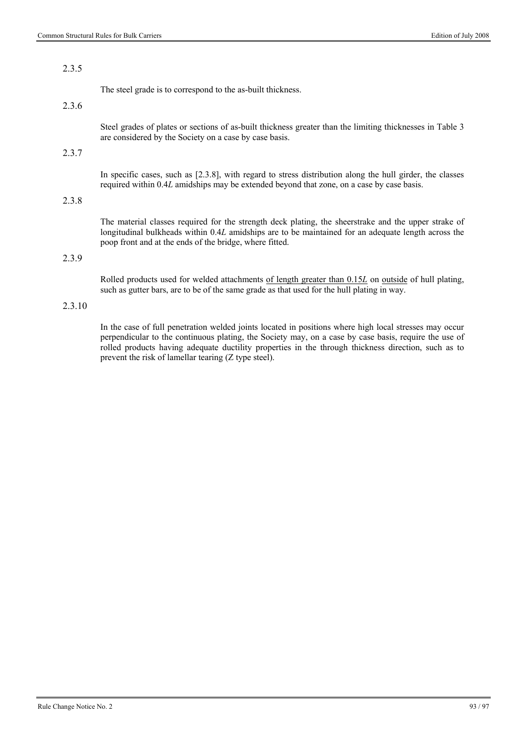### 2.3.5

The steel grade is to correspond to the as-built thickness.

### 2.3.6

Steel grades of plates or sections of as-built thickness greater than the limiting thicknesses in Table 3 are considered by the Society on a case by case basis.

### 2.3.7

In specific cases, such as [2.3.8], with regard to stress distribution along the hull girder, the classes required within 0.4*L* amidships may be extended beyond that zone, on a case by case basis.

### 2.3.8

The material classes required for the strength deck plating, the sheerstrake and the upper strake of longitudinal bulkheads within 0.4*L* amidships are to be maintained for an adequate length across the poop front and at the ends of the bridge, where fitted.

### 2.3.9

Rolled products used for welded attachments of length greater than 0.15*L* on outside of hull plating, such as gutter bars, are to be of the same grade as that used for the hull plating in way.

### 2.3.10

In the case of full penetration welded joints located in positions where high local stresses may occur perpendicular to the continuous plating, the Society may, on a case by case basis, require the use of rolled products having adequate ductility properties in the through thickness direction, such as to prevent the risk of lamellar tearing (Z type steel).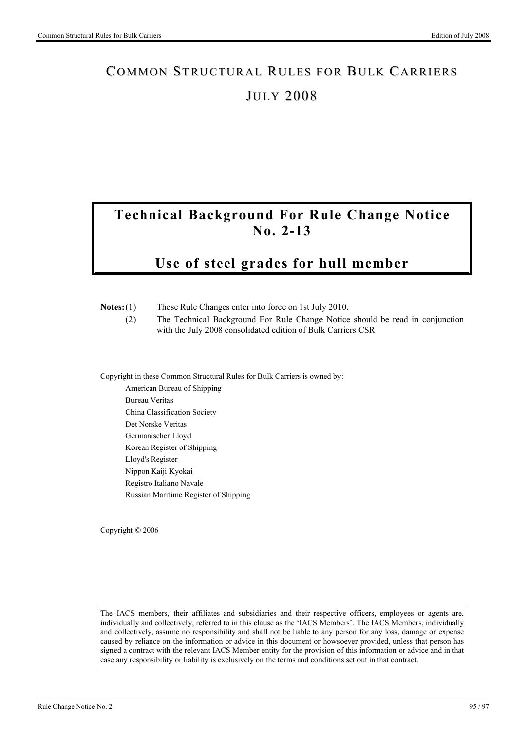# COMMON STRUCTURAL RULES FOR BULK CARRIERS **JULY 2008**

# **Technical Background For Rule Change Notice No. 2-13**

# **Use of steel grades for hull member**

| Notes: (1)<br>(2)            | These Rule Changes enter into force on 1st July 2010.<br>The Technical Background For Rule Change Notice should be read in conjunction<br>with the July 2008 consolidated edition of Bulk Carriers CSR. |
|------------------------------|---------------------------------------------------------------------------------------------------------------------------------------------------------------------------------------------------------|
|                              | Copyright in these Common Structural Rules for Bulk Carriers is owned by:                                                                                                                               |
|                              | American Bureau of Shipping                                                                                                                                                                             |
|                              | Bureau Veritas                                                                                                                                                                                          |
| China Classification Society |                                                                                                                                                                                                         |
|                              | Det Norske Veritas                                                                                                                                                                                      |
|                              | Germanischer Lloyd                                                                                                                                                                                      |
|                              | Korean Register of Shipping                                                                                                                                                                             |
|                              | Lloyd's Register                                                                                                                                                                                        |
|                              | Nippon Kaiji Kyokai                                                                                                                                                                                     |

Copyright © 2006

Registro Italiano Navale

Russian Maritime Register of Shipping

The IACS members, their affiliates and subsidiaries and their respective officers, employees or agents are, individually and collectively, referred to in this clause as the 'IACS Members'. The IACS Members, individually and collectively, assume no responsibility and shall not be liable to any person for any loss, damage or expense caused by reliance on the information or advice in this document or howsoever provided, unless that person has signed a contract with the relevant IACS Member entity for the provision of this information or advice and in that case any responsibility or liability is exclusively on the terms and conditions set out in that contract.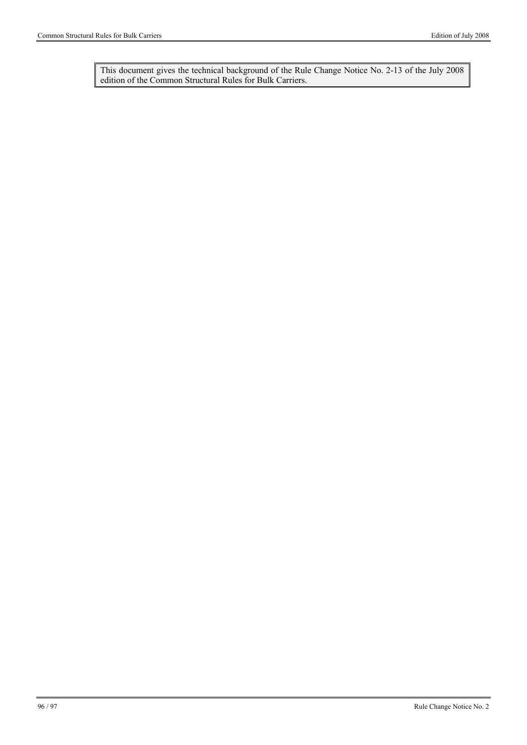This document gives the technical background of the Rule Change Notice No. 2-13 of the July 2008 edition of the Common Structural Rules for Bulk Carriers.